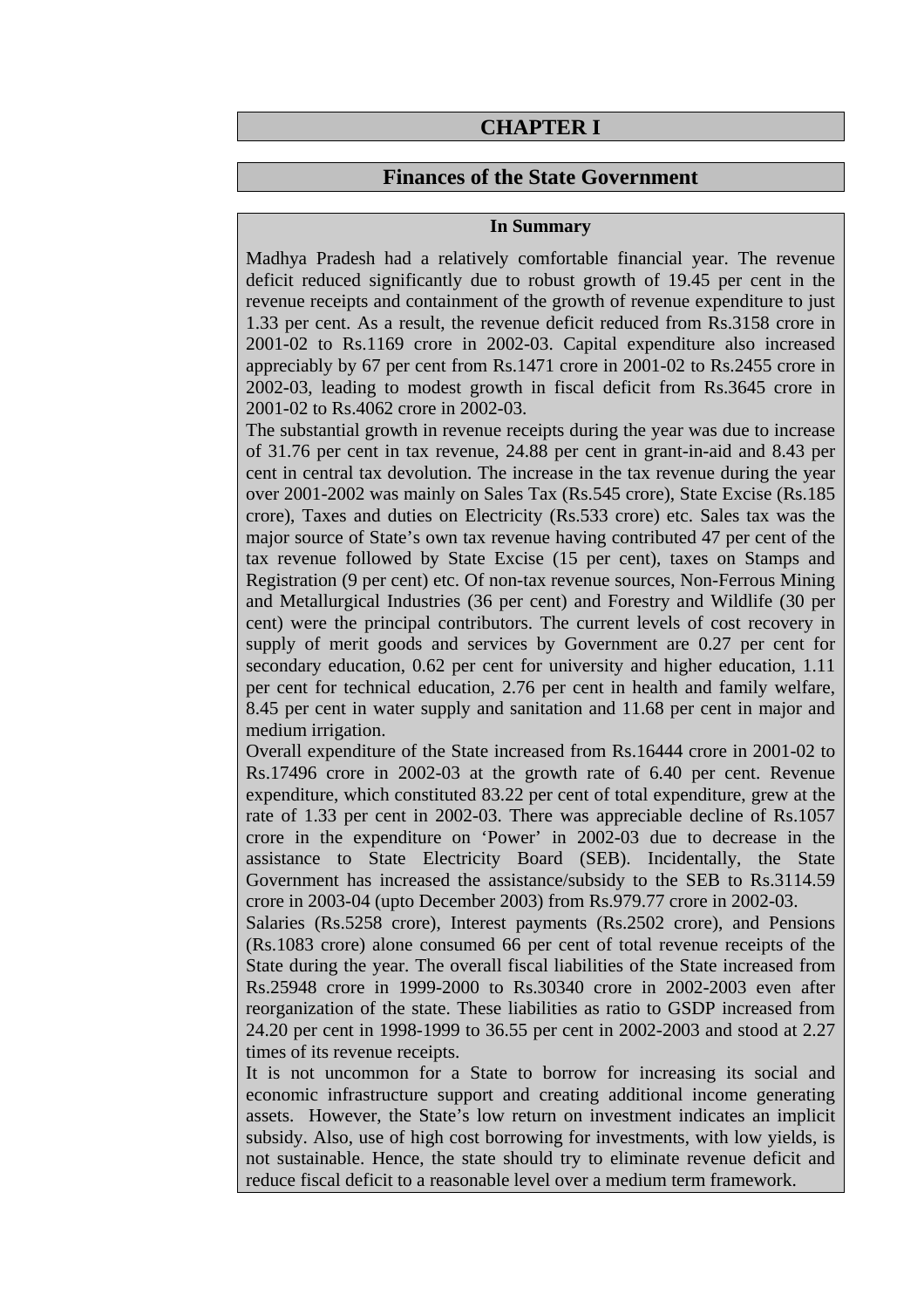# **CHAPTER I**

### **Finances of the State Government**

#### **In Summary**

Madhya Pradesh had a relatively comfortable financial year. The revenue deficit reduced significantly due to robust growth of 19.45 per cent in the revenue receipts and containment of the growth of revenue expenditure to just 1.33 per cent. As a result, the revenue deficit reduced from Rs.3158 crore in 2001-02 to Rs.1169 crore in 2002-03. Capital expenditure also increased appreciably by 67 per cent from Rs.1471 crore in 2001-02 to Rs.2455 crore in 2002-03, leading to modest growth in fiscal deficit from Rs.3645 crore in 2001-02 to Rs.4062 crore in 2002-03.

The substantial growth in revenue receipts during the year was due to increase of 31.76 per cent in tax revenue, 24.88 per cent in grant-in-aid and 8.43 per cent in central tax devolution. The increase in the tax revenue during the year over 2001-2002 was mainly on Sales Tax (Rs.545 crore), State Excise (Rs.185 crore), Taxes and duties on Electricity (Rs.533 crore) etc. Sales tax was the major source of State's own tax revenue having contributed 47 per cent of the tax revenue followed by State Excise (15 per cent), taxes on Stamps and Registration (9 per cent) etc. Of non-tax revenue sources, Non-Ferrous Mining and Metallurgical Industries (36 per cent) and Forestry and Wildlife (30 per cent) were the principal contributors. The current levels of cost recovery in supply of merit goods and services by Government are 0.27 per cent for secondary education, 0.62 per cent for university and higher education, 1.11 per cent for technical education, 2.76 per cent in health and family welfare, 8.45 per cent in water supply and sanitation and 11.68 per cent in major and medium irrigation.

Overall expenditure of the State increased from Rs.16444 crore in 2001-02 to Rs.17496 crore in 2002-03 at the growth rate of 6.40 per cent. Revenue expenditure, which constituted 83.22 per cent of total expenditure, grew at the rate of 1.33 per cent in 2002-03. There was appreciable decline of Rs.1057 crore in the expenditure on 'Power' in 2002-03 due to decrease in the assistance to State Electricity Board (SEB). Incidentally, the State Government has increased the assistance/subsidy to the SEB to Rs.3114.59 crore in 2003-04 (upto December 2003) from Rs.979.77 crore in 2002-03.

Salaries (Rs.5258 crore), Interest payments (Rs.2502 crore), and Pensions (Rs.1083 crore) alone consumed 66 per cent of total revenue receipts of the State during the year. The overall fiscal liabilities of the State increased from Rs.25948 crore in 1999-2000 to Rs.30340 crore in 2002-2003 even after reorganization of the state. These liabilities as ratio to GSDP increased from 24.20 per cent in 1998-1999 to 36.55 per cent in 2002-2003 and stood at 2.27 times of its revenue receipts.

It is not uncommon for a State to borrow for increasing its social and economic infrastructure support and creating additional income generating assets. However, the State's low return on investment indicates an implicit subsidy. Also, use of high cost borrowing for investments, with low yields, is not sustainable. Hence, the state should try to eliminate revenue deficit and reduce fiscal deficit to a reasonable level over a medium term framework.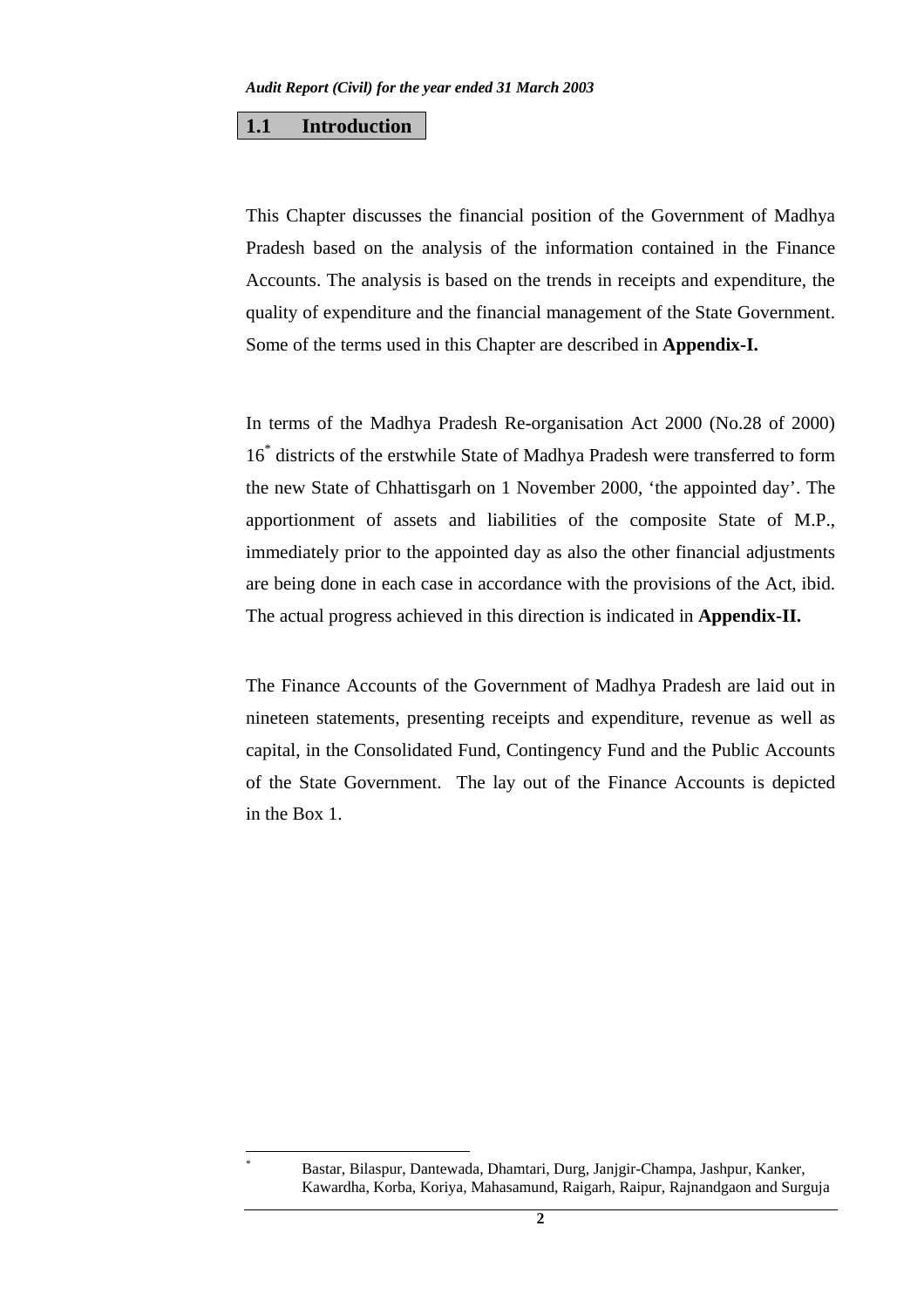#### **1.1 Introduction**

 $\overline{a}$ \*

This Chapter discusses the financial position of the Government of Madhya Pradesh based on the analysis of the information contained in the Finance Accounts. The analysis is based on the trends in receipts and expenditure, the quality of expenditure and the financial management of the State Government. Some of the terms used in this Chapter are described in **Appendix-I.**

In terms of the Madhya Pradesh Re-organisation Act 2000 (No.28 of 2000) 16\* districts of the erstwhile State of Madhya Pradesh were transferred to form the new State of Chhattisgarh on 1 November 2000, 'the appointed day'. The apportionment of assets and liabilities of the composite State of M.P., immediately prior to the appointed day as also the other financial adjustments are being done in each case in accordance with the provisions of the Act, ibid. The actual progress achieved in this direction is indicated in **Appendix-II.**

The Finance Accounts of the Government of Madhya Pradesh are laid out in nineteen statements, presenting receipts and expenditure, revenue as well as capital, in the Consolidated Fund, Contingency Fund and the Public Accounts of the State Government. The lay out of the Finance Accounts is depicted in the Box 1.

Bastar, Bilaspur, Dantewada, Dhamtari, Durg, Janjgir-Champa, Jashpur, Kanker, Kawardha, Korba, Koriya, Mahasamund, Raigarh, Raipur, Rajnandgaon and Surguja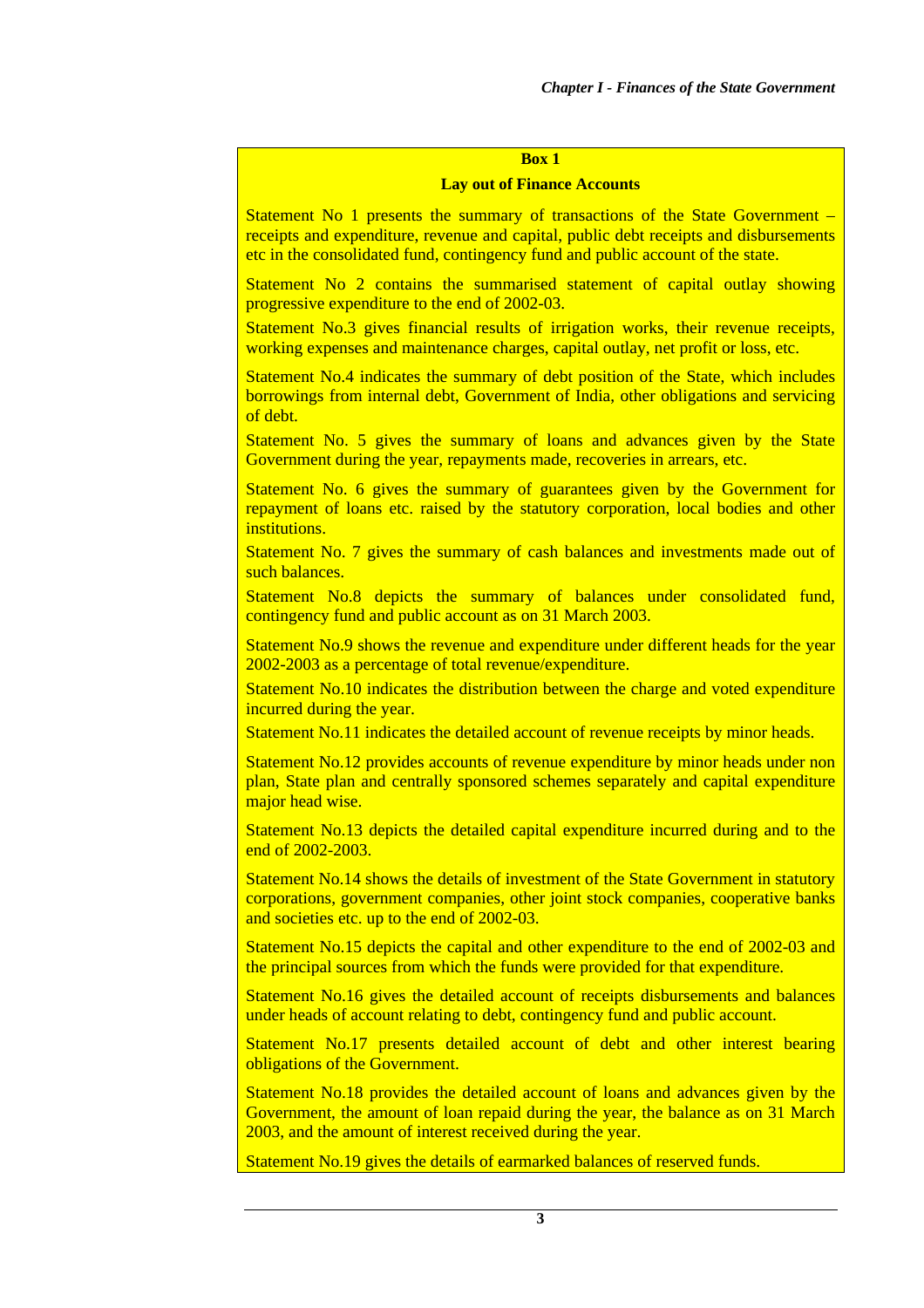### **Box 1**

#### **Lay out of Finance Accounts**

Statement No 1 presents the summary of transactions of the State Government – receipts and expenditure, revenue and capital, public debt receipts and disbursements etc in the consolidated fund, contingency fund and public account of the state.

Statement No 2 contains the summarised statement of capital outlay showing progressive expenditure to the end of 2002-03.

Statement No.3 gives financial results of irrigation works, their revenue receipts, working expenses and maintenance charges, capital outlay, net profit or loss, etc.

Statement No.4 indicates the summary of debt position of the State, which includes borrowings from internal debt, Government of India, other obligations and servicing of debt.

Statement No. 5 gives the summary of loans and advances given by the State Government during the year, repayments made, recoveries in arrears, etc.

Statement No. 6 gives the summary of guarantees given by the Government for repayment of loans etc. raised by the statutory corporation, local bodies and other institutions.

Statement No. 7 gives the summary of cash balances and investments made out of such balances.

Statement No.8 depicts the summary of balances under consolidated fund, contingency fund and public account as on 31 March 2003.

Statement No.9 shows the revenue and expenditure under different heads for the year 2002-2003 as a percentage of total revenue/expenditure.

Statement No.10 indicates the distribution between the charge and voted expenditure incurred during the year.

Statement No.11 indicates the detailed account of revenue receipts by minor heads.

Statement No.12 provides accounts of revenue expenditure by minor heads under non plan, State plan and centrally sponsored schemes separately and capital expenditure major head wise.

Statement No.13 depicts the detailed capital expenditure incurred during and to the end of 2002-2003.

Statement No.14 shows the details of investment of the State Government in statutory corporations, government companies, other joint stock companies, cooperative banks and societies etc. up to the end of 2002-03.

Statement No.15 depicts the capital and other expenditure to the end of 2002-03 and the principal sources from which the funds were provided for that expenditure.

Statement No.16 gives the detailed account of receipts disbursements and balances under heads of account relating to debt, contingency fund and public account.

Statement No.17 presents detailed account of debt and other interest bearing obligations of the Government.

Statement No.18 provides the detailed account of loans and advances given by the Government, the amount of loan repaid during the year, the balance as on 31 March 2003, and the amount of interest received during the year.

Statement No.19 gives the details of earmarked balances of reserved funds.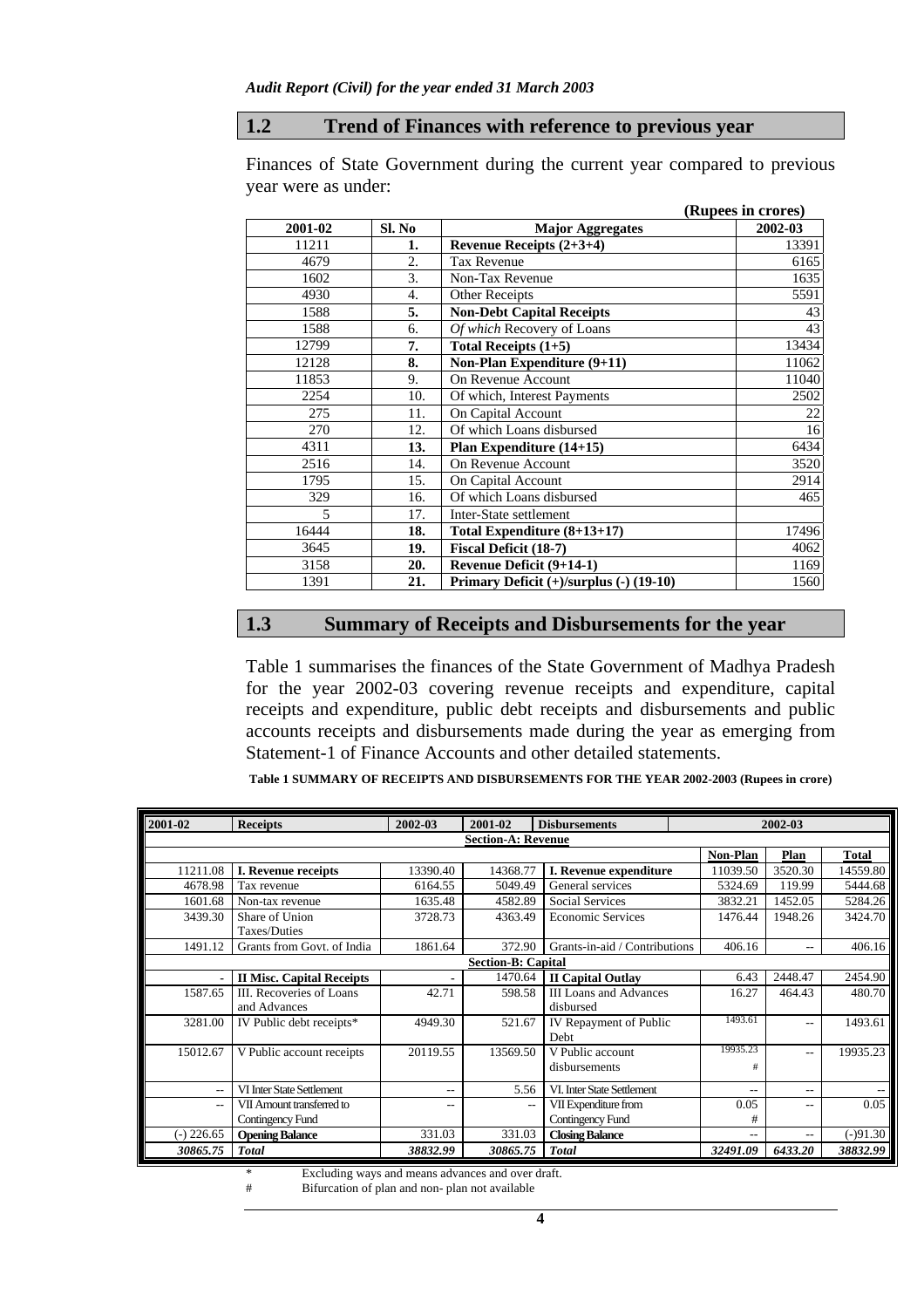### **1.2 Trend of Finances with reference to previous year**

Finances of State Government during the current year compared to previous year were as under: **(Rupees in crores) 2001-02 Sl. No Major Aggregates 2002-03** 

| 2001-02 | Sl. No | <b>Major Aggregates</b>                 | 2002-03 |
|---------|--------|-----------------------------------------|---------|
| 11211   | 1.     | Revenue Receipts $(2+3+4)$              | 13391   |
| 4679    | 2.     | Tax Revenue                             | 6165    |
| 1602    | 3.     | Non-Tax Revenue                         | 1635    |
| 4930    | 4.     | <b>Other Receipts</b>                   | 5591    |
| 1588    | 5.     | <b>Non-Debt Capital Receipts</b>        | 43      |
| 1588    | 6.     | Of which Recovery of Loans              | 43      |
| 12799   | 7.     | Total Receipts $(1+5)$                  | 13434   |
| 12128   | 8.     | Non-Plan Expenditure (9+11)             | 11062   |
| 11853   | 9.     | On Revenue Account                      | 11040   |
| 2254    | 10.    | Of which, Interest Payments             | 2502    |
| 275     | 11.    | On Capital Account                      | 22      |
| 270     | 12.    | Of which Loans disbursed                | 16      |
| 4311    | 13.    | Plan Expenditure (14+15)                | 6434    |
| 2516    | 14.    | On Revenue Account                      | 3520    |
| 1795    | 15.    | On Capital Account                      | 2914    |
| 329     | 16.    | Of which Loans disbursed                | 465     |
| 5       | 17.    | Inter-State settlement                  |         |
| 16444   | 18.    | Total Expenditure (8+13+17)             | 17496   |
| 3645    | 19.    | <b>Fiscal Deficit (18-7)</b>            | 4062    |
| 3158    | 20.    | Revenue Deficit (9+14-1)                | 1169    |
| 1391    | 21.    | Primary Deficit (+)/surplus (-) (19-10) | 1560    |

### **1.3 Summary of Receipts and Disbursements for the year**

Table 1 summarises the finances of the State Government of Madhya Pradesh for the year 2002-03 covering revenue receipts and expenditure, capital receipts and expenditure, public debt receipts and disbursements and public accounts receipts and disbursements made during the year as emerging from Statement-1 of Finance Accounts and other detailed statements.

**Table 1 SUMMARY OF RECEIPTS AND DISBURSEMENTS FOR THE YEAR 2002-2003 (Rupees in crore)** 

| 2001-02      | <b>Receipts</b>                  | 2002-03  | 2001-02                   | <b>Disbursements</b>          |          | 2002-03 |              |
|--------------|----------------------------------|----------|---------------------------|-------------------------------|----------|---------|--------------|
|              |                                  |          | <b>Section-A: Revenue</b> |                               |          |         |              |
|              |                                  |          |                           |                               | Non-Plan | Plan    | <b>Total</b> |
| 11211.08     | I. Revenue receipts              | 13390.40 | 14368.77                  | I. Revenue expenditure        | 11039.50 | 3520.30 | 14559.80     |
| 4678.98      | Tax revenue                      | 6164.55  | 5049.49                   | General services              | 5324.69  | 119.99  | 5444.68      |
| 1601.68      | Non-tax revenue                  | 1635.48  | 4582.89                   | <b>Social Services</b>        | 3832.21  | 1452.05 | 5284.26      |
| 3439.30      | Share of Union                   | 3728.73  | 4363.49                   | <b>Economic Services</b>      | 1476.44  | 1948.26 | 3424.70      |
|              | Taxes/Duties                     |          |                           |                               |          |         |              |
| 1491.12      | Grants from Govt. of India       | 1861.64  | 372.90                    | Grants-in-aid / Contributions | 406.16   | $- -$   | 406.16       |
|              |                                  |          | <b>Section-B: Capital</b> |                               |          |         |              |
|              | <b>II Misc. Capital Receipts</b> |          | 1470.64                   | <b>II Capital Outlav</b>      | 6.43     | 2448.47 | 2454.90      |
| 1587.65      | III. Recoveries of Loans         | 42.71    | 598.58                    | <b>III Loans and Advances</b> | 16.27    | 464.43  | 480.70       |
|              | and Advances                     |          |                           | disbursed                     |          |         |              |
| 3281.00      | IV Public debt receipts*         | 4949.30  | 521.67                    | IV Repayment of Public        | 1493.61  | $- -$   | 1493.61      |
|              |                                  |          |                           | Debt                          |          |         |              |
| 15012.67     | V Public account receipts        | 20119.55 | 13569.50                  | V Public account              | 19935.23 | $- -$   | 19935.23     |
|              |                                  |          |                           | disbursements                 | #        |         |              |
| $- -$        | VI Inter State Settlement        | $- -$    | 5.56                      | VI. Inter State Settlement    | --       | $- -$   |              |
| $-$          | VII Amount transferred to        | $- -$    | $-$                       | VII Expenditure from          | 0.05     | $- -$   | 0.05         |
|              | Contingency Fund                 |          |                           | Contingency Fund              | #        |         |              |
| $(-)$ 226.65 | <b>Opening Balance</b>           | 331.03   | 331.03                    | <b>Closing Balance</b>        |          | $- -$   | $(-)91.30$   |
| 30865.75     | <b>Total</b>                     | 38832.99 | 30865.75                  | <b>Total</b>                  | 32491.09 | 6433.20 | 38832.99     |

\* Excluding ways and means advances and over draft.<br> **#** Bifurcation of plan and non- plan not available

Bifurcation of plan and non- plan not available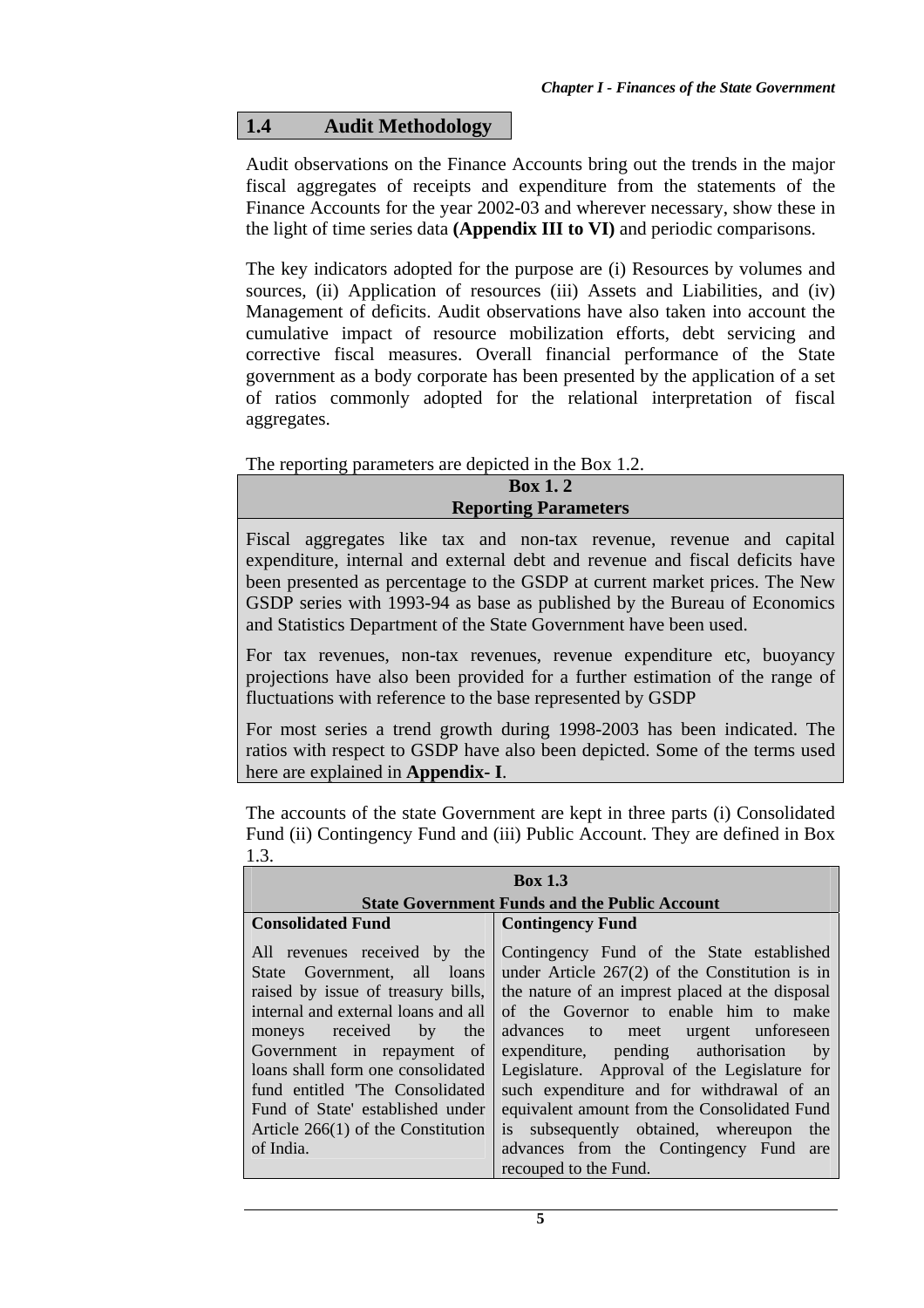# **1.4 Audit Methodology**

Audit observations on the Finance Accounts bring out the trends in the major fiscal aggregates of receipts and expenditure from the statements of the Finance Accounts for the year 2002-03 and wherever necessary, show these in the light of time series data **(Appendix III to VI)** and periodic comparisons.

The key indicators adopted for the purpose are (i) Resources by volumes and sources, (ii) Application of resources (iii) Assets and Liabilities, and (iv) Management of deficits. Audit observations have also taken into account the cumulative impact of resource mobilization efforts, debt servicing and corrective fiscal measures. Overall financial performance of the State government as a body corporate has been presented by the application of a set of ratios commonly adopted for the relational interpretation of fiscal aggregates.

The reporting parameters are depicted in the Box 1.2.

**Box 1. 2 Reporting Parameters** 

Fiscal aggregates like tax and non-tax revenue, revenue and capital expenditure, internal and external debt and revenue and fiscal deficits have been presented as percentage to the GSDP at current market prices. The New GSDP series with 1993-94 as base as published by the Bureau of Economics and Statistics Department of the State Government have been used.

For tax revenues, non-tax revenues, revenue expenditure etc, buoyancy projections have also been provided for a further estimation of the range of fluctuations with reference to the base represented by GSDP

For most series a trend growth during 1998-2003 has been indicated. The ratios with respect to GSDP have also been depicted. Some of the terms used here are explained in **Appendix- I**.

The accounts of the state Government are kept in three parts (i) Consolidated Fund (ii) Contingency Fund and (iii) Public Account. They are defined in Box 1.3.

| <b>Box 1.3</b>                                                                                                                                                                                                                                                                                                                                                                                                                                                                                                                                                            |  |  |  |  |  |
|---------------------------------------------------------------------------------------------------------------------------------------------------------------------------------------------------------------------------------------------------------------------------------------------------------------------------------------------------------------------------------------------------------------------------------------------------------------------------------------------------------------------------------------------------------------------------|--|--|--|--|--|
| <b>State Government Funds and the Public Account</b>                                                                                                                                                                                                                                                                                                                                                                                                                                                                                                                      |  |  |  |  |  |
| <b>Contingency Fund</b>                                                                                                                                                                                                                                                                                                                                                                                                                                                                                                                                                   |  |  |  |  |  |
| Contingency Fund of the State established<br>under Article $267(2)$ of the Constitution is in<br>raised by issue of treasury bills, the nature of an imprest placed at the disposal<br>of the Governor to enable him to make<br>advances to meet urgent unforeseen<br>expenditure, pending authorisation<br>by<br>Legislature. Approval of the Legislature for<br>such expenditure and for withdrawal of an<br>equivalent amount from the Consolidated Fund<br>is subsequently obtained, whereupon the<br>advances from the Contingency Fund are<br>recouped to the Fund. |  |  |  |  |  |
|                                                                                                                                                                                                                                                                                                                                                                                                                                                                                                                                                                           |  |  |  |  |  |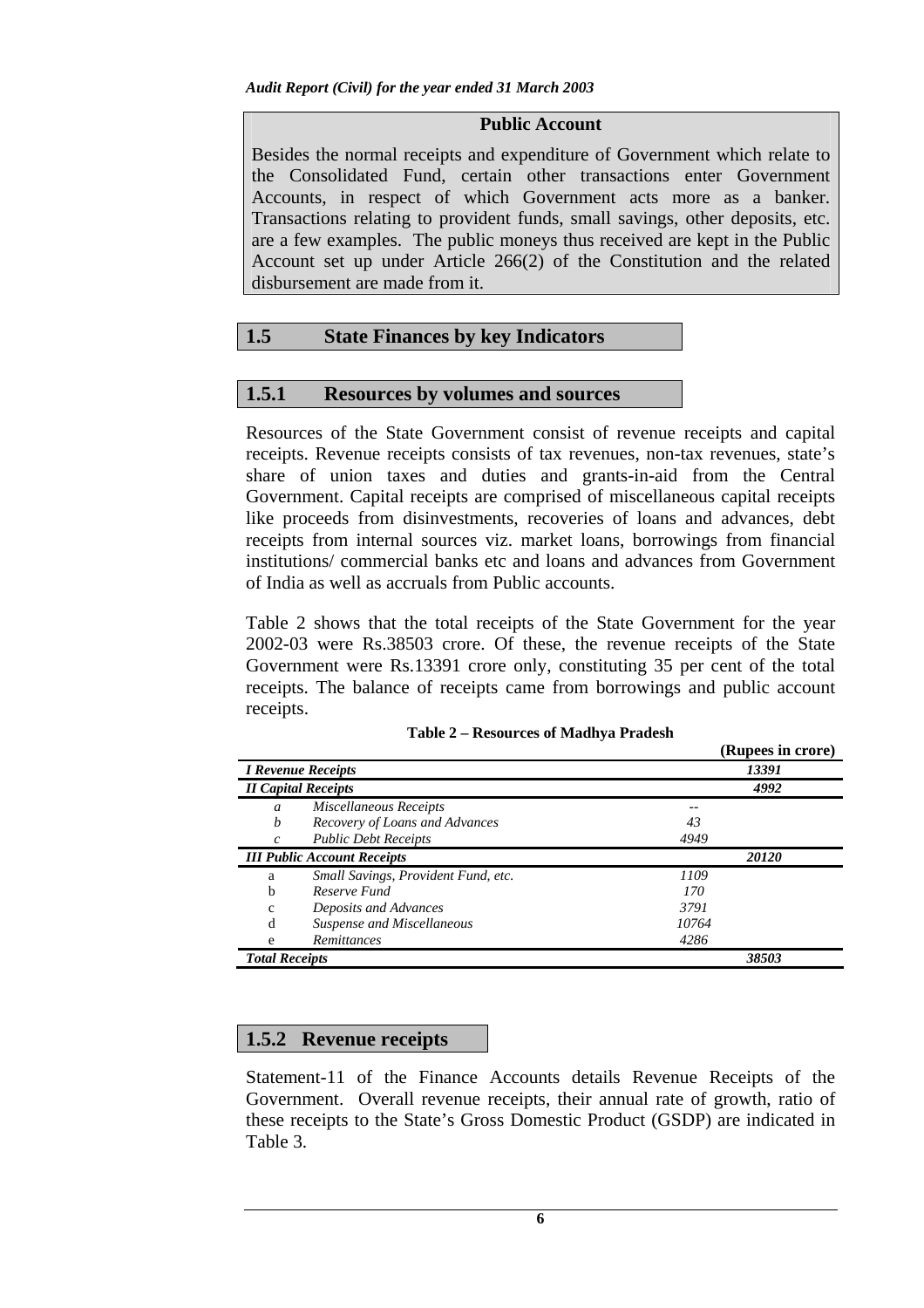### **Public Account**

Besides the normal receipts and expenditure of Government which relate to the Consolidated Fund, certain other transactions enter Government Accounts, in respect of which Government acts more as a banker. Transactions relating to provident funds, small savings, other deposits, etc. are a few examples. The public moneys thus received are kept in the Public Account set up under Article 266(2) of the Constitution and the related disbursement are made from it.

# **1.5 State Finances by key Indicators**

## **1.5.1 Resources by volumes and sources**

Resources of the State Government consist of revenue receipts and capital receipts. Revenue receipts consists of tax revenues, non-tax revenues, state's share of union taxes and duties and grants-in-aid from the Central Government. Capital receipts are comprised of miscellaneous capital receipts like proceeds from disinvestments, recoveries of loans and advances, debt receipts from internal sources viz. market loans, borrowings from financial institutions/ commercial banks etc and loans and advances from Government of India as well as accruals from Public accounts.

Table 2 shows that the total receipts of the State Government for the year 2002-03 were Rs.38503 crore. Of these, the revenue receipts of the State Government were Rs.13391 crore only, constituting 35 per cent of the total receipts. The balance of receipts came from borrowings and public account receipts.

|                       |                                     |       | лирееѕ ш сгоге <i>)</i> |
|-----------------------|-------------------------------------|-------|-------------------------|
|                       | <b>I Revenue Receipts</b>           |       | 13391                   |
|                       | <b>II Capital Receipts</b>          |       | 4992                    |
| $\mathfrak a$         | Miscellaneous Receipts              |       |                         |
| b                     | Recovery of Loans and Advances      | 43    |                         |
| $\mathcal{C}$         | <b>Public Debt Receipts</b>         | 4949  |                         |
|                       | <b>III Public Account Receipts</b>  |       | 20120                   |
| a                     | Small Savings, Provident Fund, etc. | 1109  |                         |
| b                     | Reserve Fund                        | 170   |                         |
| c                     | Deposits and Advances               | 3791  |                         |
| d                     | Suspense and Miscellaneous          | 10764 |                         |
| e                     | Remittances                         | 4286  |                         |
| <b>Total Receipts</b> |                                     |       | 38503                   |

**(Rupees in crore)** 

## **1.5.2 Revenue receipts**

Statement-11 of the Finance Accounts details Revenue Receipts of the Government. Overall revenue receipts, their annual rate of growth, ratio of these receipts to the State's Gross Domestic Product (GSDP) are indicated in Table 3.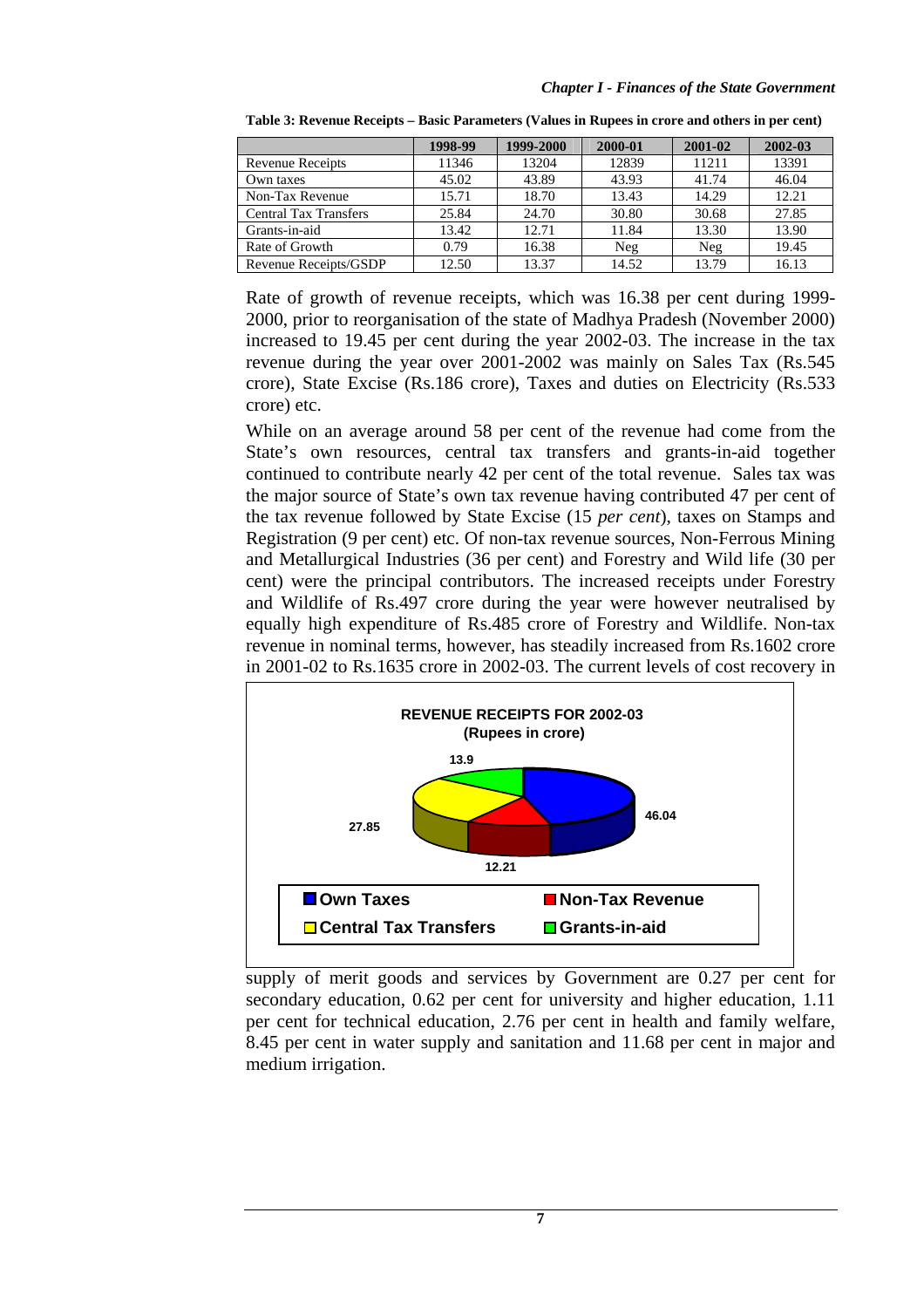|                              | 1998-99 | 1999-2000 | 2000-01 | 2001-02 | 2002-03 |
|------------------------------|---------|-----------|---------|---------|---------|
| Revenue Receipts             | 11346   | 13204     | 12839   | 11211   | 13391   |
| Own taxes                    | 45.02   | 43.89     | 43.93   | 41.74   | 46.04   |
| Non-Tax Revenue              | 15.71   | 18.70     | 13.43   | 14.29   | 12.21   |
| <b>Central Tax Transfers</b> | 25.84   | 24.70     | 30.80   | 30.68   | 27.85   |
| Grants-in-aid                | 13.42   | 12.71     | 11.84   | 13.30   | 13.90   |
| Rate of Growth               | 0.79    | 16.38     | Neg     | Neg     | 19.45   |
| Revenue Receipts/GSDP        | 12.50   | 13.37     | 14.52   | 13.79   | 16.13   |

**Table 3: Revenue Receipts – Basic Parameters (Values in Rupees in crore and others in per cent)**

Rate of growth of revenue receipts, which was 16.38 per cent during 1999- 2000, prior to reorganisation of the state of Madhya Pradesh (November 2000) increased to 19.45 per cent during the year 2002-03. The increase in the tax revenue during the year over 2001-2002 was mainly on Sales Tax (Rs.545 crore), State Excise (Rs.186 crore), Taxes and duties on Electricity (Rs.533 crore) etc.

While on an average around 58 per cent of the revenue had come from the State's own resources, central tax transfers and grants-in-aid together continued to contribute nearly 42 per cent of the total revenue. Sales tax was the major source of State's own tax revenue having contributed 47 per cent of the tax revenue followed by State Excise (15 *per cent*), taxes on Stamps and Registration (9 per cent) etc. Of non-tax revenue sources, Non-Ferrous Mining and Metallurgical Industries (36 per cent) and Forestry and Wild life (30 per cent) were the principal contributors. The increased receipts under Forestry and Wildlife of Rs.497 crore during the year were however neutralised by equally high expenditure of Rs.485 crore of Forestry and Wildlife. Non-tax revenue in nominal terms, however, has steadily increased from Rs.1602 crore in 2001-02 to Rs.1635 crore in 2002-03. The current levels of cost recovery in



supply of merit goods and services by Government are 0.27 per cent for secondary education, 0.62 per cent for university and higher education, 1.11 per cent for technical education, 2.76 per cent in health and family welfare, 8.45 per cent in water supply and sanitation and 11.68 per cent in major and medium irrigation.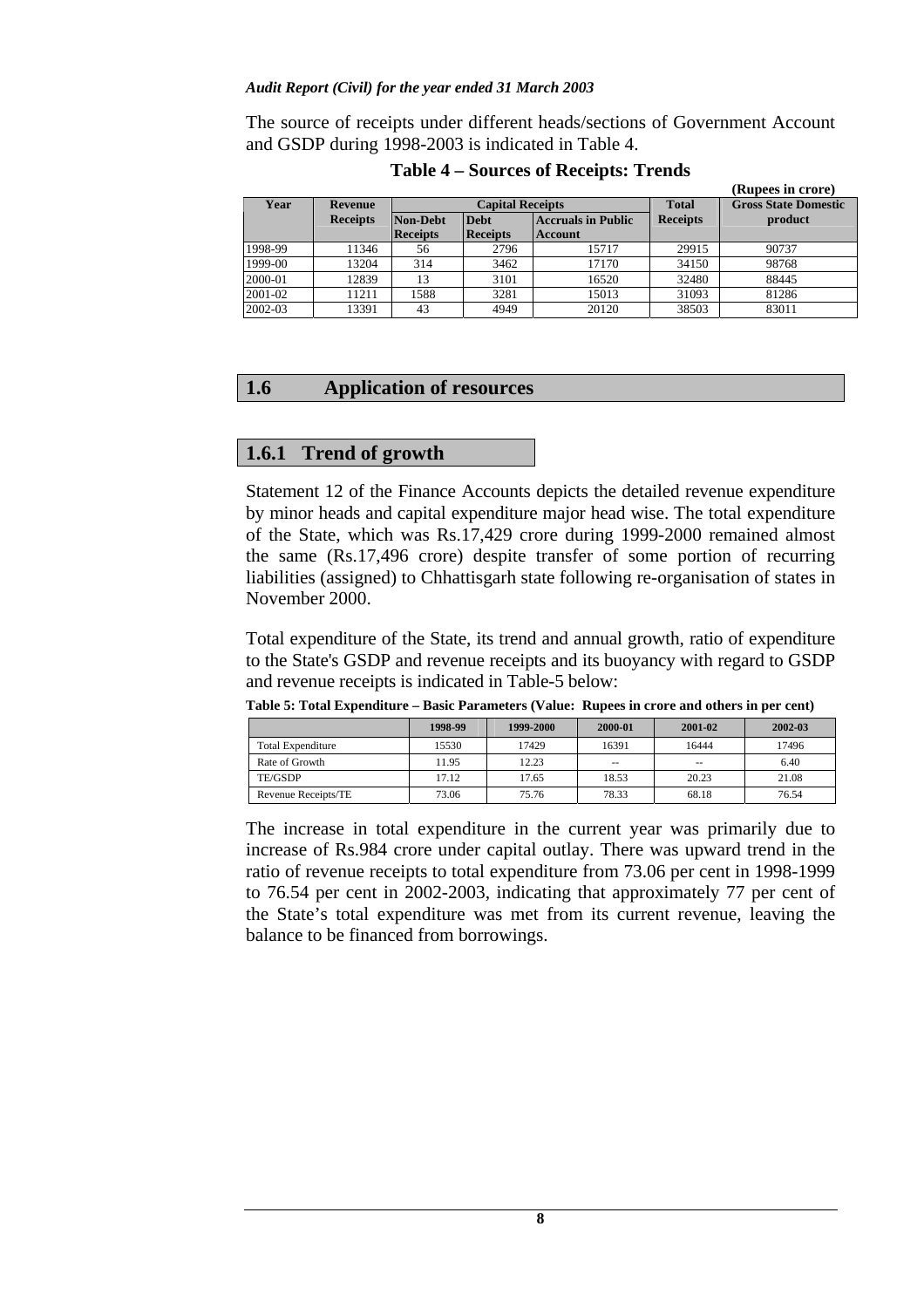The source of receipts under different heads/sections of Government Account and GSDP during 1998-2003 is indicated in Table 4.

|             | (Rupees in crore) |                 |                                          |         |                 |                             |  |  |  |
|-------------|-------------------|-----------------|------------------------------------------|---------|-----------------|-----------------------------|--|--|--|
| <b>Year</b> | Revenue           |                 | <b>Capital Receipts</b>                  |         |                 | <b>Gross State Domestic</b> |  |  |  |
|             | <b>Receipts</b>   | Non-Debt        | <b>Debt</b><br><b>Accruals in Public</b> |         | <b>Receipts</b> | product                     |  |  |  |
|             |                   | <b>Receipts</b> | <b>Receipts</b>                          | Account |                 |                             |  |  |  |
| 1998-99     | 11346             | 56              | 2796                                     | 15717   | 29915           | 90737                       |  |  |  |
| 1999-00     | 13204             | 314             | 3462                                     | 17170   | 34150           | 98768                       |  |  |  |
| 2000-01     | 12839             | 13              | 3101                                     | 16520   | 32480           | 88445                       |  |  |  |
| 2001-02     | 11211             | 1588            | 3281                                     | 15013   | 31093           | 81286                       |  |  |  |
| 2002-03     | 13391             | 43              | 4949                                     | 20120   | 38503           | 83011                       |  |  |  |

**Table 4 – Sources of Receipts: Trends**

# **1.6 Application of resources**

### **1.6.1 Trend of growth**

Statement 12 of the Finance Accounts depicts the detailed revenue expenditure by minor heads and capital expenditure major head wise. The total expenditure of the State, which was Rs.17,429 crore during 1999-2000 remained almost the same (Rs.17,496 crore) despite transfer of some portion of recurring liabilities (assigned) to Chhattisgarh state following re-organisation of states in November 2000.

Total expenditure of the State, its trend and annual growth, ratio of expenditure to the State's GSDP and revenue receipts and its buoyancy with regard to GSDP and revenue receipts is indicated in Table-5 below:

**Table 5: Total Expenditure – Basic Parameters (Value: Rupees in crore and others in per cent)**

|                          | 1998-99 | 1999-2000 | 2000-01       | 2001-02       | 2002-03 |
|--------------------------|---------|-----------|---------------|---------------|---------|
| <b>Total Expenditure</b> | 15530   | 17429     | 16391         | 16444         | 17496   |
| Rate of Growth           | 11.95   | 12.23     | $\sim$ $\sim$ | $\frac{1}{2}$ | 6.40    |
| TE/GSDP                  | 17.12   | 17.65     | 18.53         | 20.23         | 21.08   |
| Revenue Receipts/TE      | 73.06   | 75.76     | 78.33         | 68.18         | 76.54   |

The increase in total expenditure in the current year was primarily due to increase of Rs.984 crore under capital outlay. There was upward trend in the ratio of revenue receipts to total expenditure from 73.06 per cent in 1998-1999 to 76.54 per cent in 2002-2003, indicating that approximately 77 per cent of the State's total expenditure was met from its current revenue, leaving the balance to be financed from borrowings.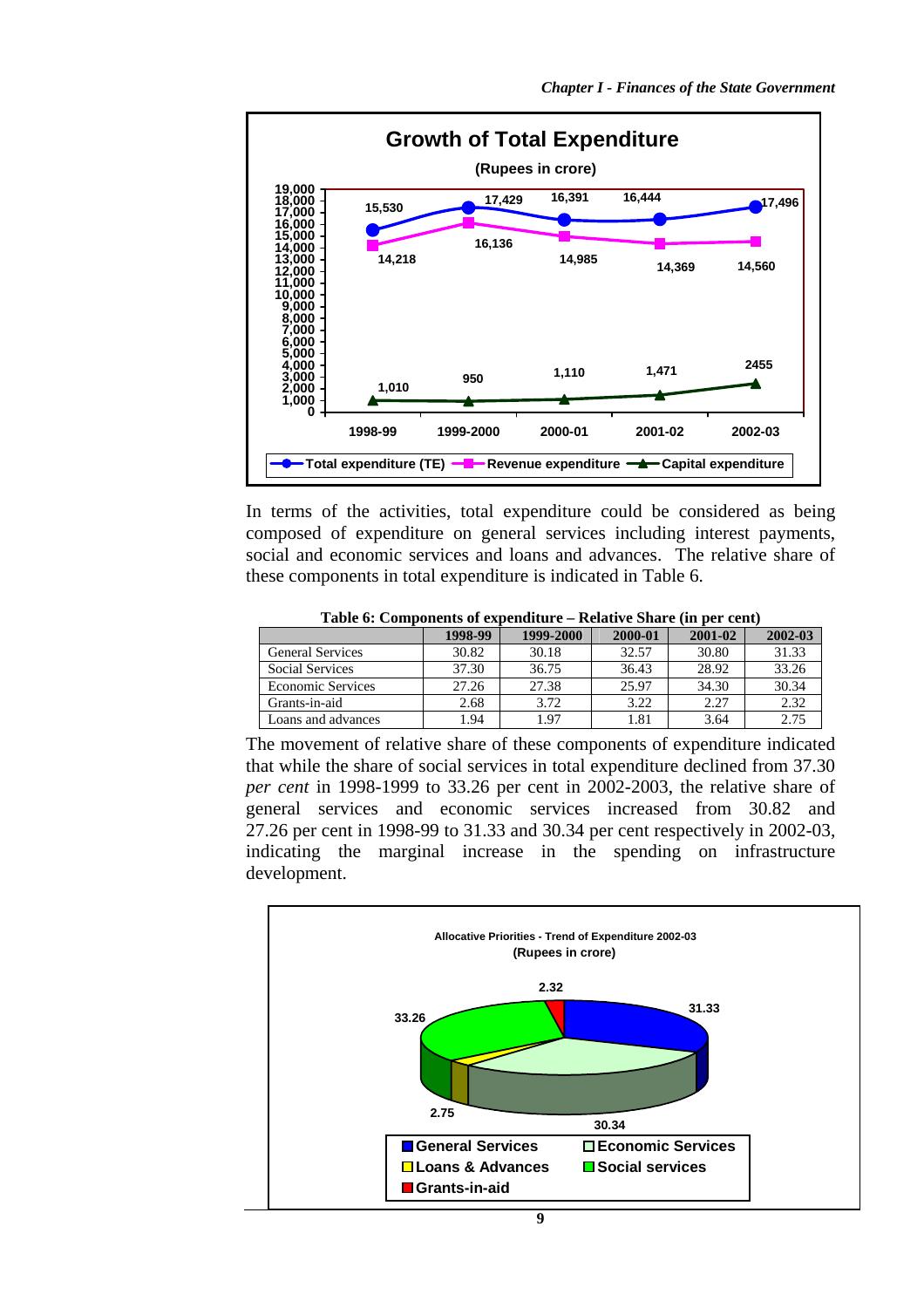

In terms of the activities, total expenditure could be considered as being composed of expenditure on general services including interest payments, social and economic services and loans and advances. The relative share of these components in total expenditure is indicated in Table 6.

|                          | 1998-99 | 1999-2000 | 2000-01 | 2001-02 | 2002-03 |
|--------------------------|---------|-----------|---------|---------|---------|
| <b>General Services</b>  | 30.82   | 30.18     | 32.57   | 30.80   | 31.33   |
| <b>Social Services</b>   | 37.30   | 36.75     | 36.43   | 28.92   | 33.26   |
| <b>Economic Services</b> | 27.26   | 27.38     | 25.97   | 34.30   | 30.34   |
| Grants-in-aid            | 2.68    | 3.72      | 3.22    | 2.27    | 2.32    |
| Loans and advances       | 1.94    | 1.97      | 1.81    | 3.64    | 2.75    |

**Table 6: Components of expenditure – Relative Share (in per cent)** 

The movement of relative share of these components of expenditure indicated that while the share of social services in total expenditure declined from 37.30 *per cent* in 1998-1999 to 33.26 per cent in 2002-2003, the relative share of general services and economic services increased from 30.82 and 27.26 per cent in 1998-99 to 31.33 and 30.34 per cent respectively in 2002-03, indicating the marginal increase in the spending on infrastructure development.

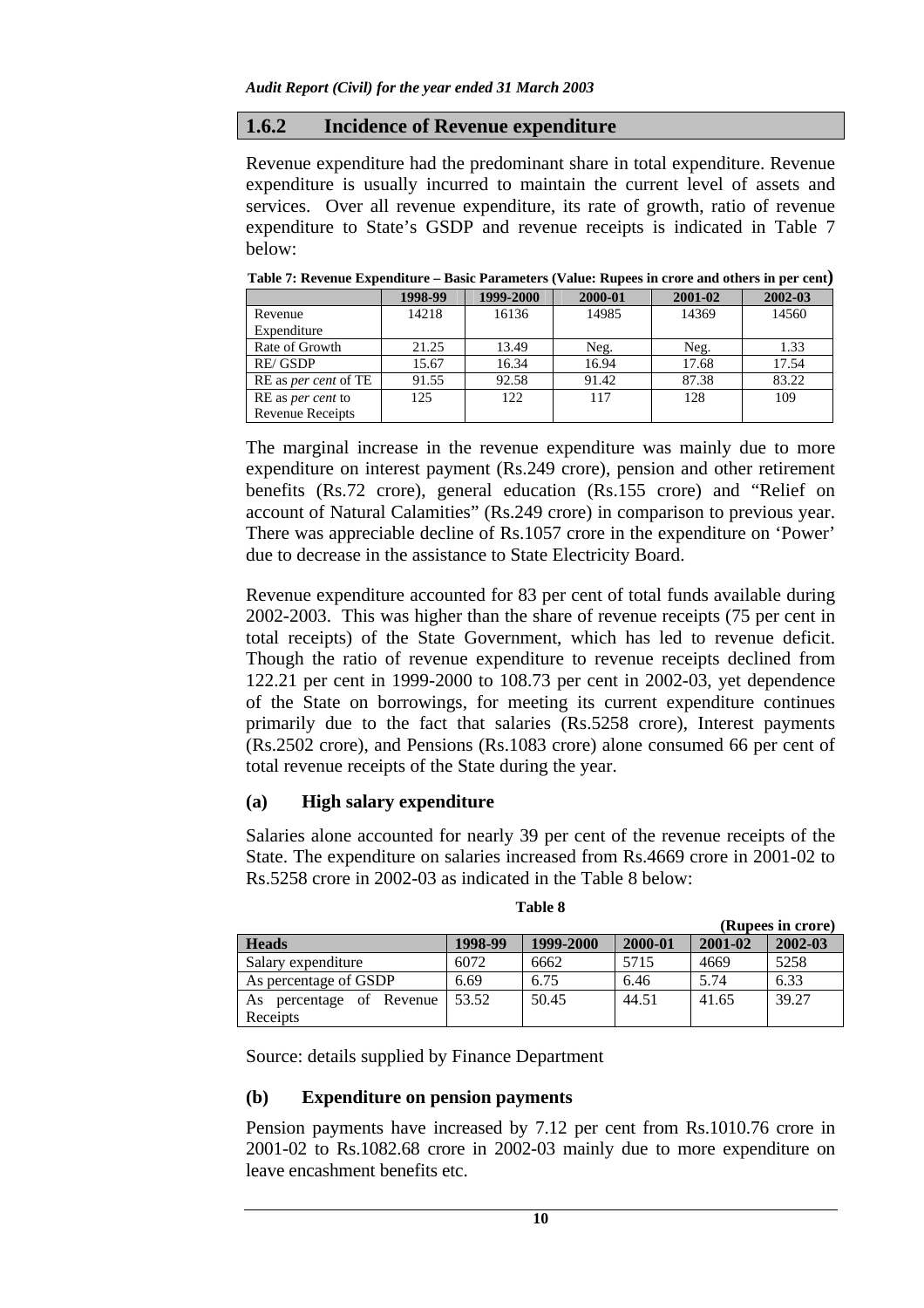### **1.6.2 Incidence of Revenue expenditure**

Revenue expenditure had the predominant share in total expenditure. Revenue expenditure is usually incurred to maintain the current level of assets and services. Over all revenue expenditure, its rate of growth, ratio of revenue expenditure to State's GSDP and revenue receipts is indicated in Table 7 below:

|                             | 1998-99 | 1999-2000 | 2000-01 | 2001-02 | 2002-03 |
|-----------------------------|---------|-----------|---------|---------|---------|
| Revenue                     | 14218   | 16136     | 14985   | 14369   | 14560   |
| Expenditure                 |         |           |         |         |         |
| Rate of Growth              | 21.25   | 13.49     | Neg.    | Neg.    | 1.33    |
| RE/GSDP                     | 15.67   | 16.34     | 16.94   | 17.68   | 17.54   |
| RE as <i>per cent</i> of TE | 91.55   | 92.58     | 91.42   | 87.38   | 83.22   |
| RE as <i>per cent</i> to    | 125     | 122       | 117     | 128     | 109     |
| <b>Revenue Receipts</b>     |         |           |         |         |         |

**Table 7: Revenue Expenditure – Basic Parameters (Value: Rupees in crore and others in per cent)** 

The marginal increase in the revenue expenditure was mainly due to more expenditure on interest payment (Rs.249 crore), pension and other retirement benefits (Rs.72 crore), general education (Rs.155 crore) and "Relief on account of Natural Calamities" (Rs.249 crore) in comparison to previous year. There was appreciable decline of Rs.1057 crore in the expenditure on 'Power' due to decrease in the assistance to State Electricity Board.

Revenue expenditure accounted for 83 per cent of total funds available during 2002-2003. This was higher than the share of revenue receipts (75 per cent in total receipts) of the State Government, which has led to revenue deficit. Though the ratio of revenue expenditure to revenue receipts declined from 122.21 per cent in 1999-2000 to 108.73 per cent in 2002-03, yet dependence of the State on borrowings, for meeting its current expenditure continues primarily due to the fact that salaries (Rs.5258 crore), Interest payments (Rs.2502 crore), and Pensions (Rs.1083 crore) alone consumed 66 per cent of total revenue receipts of the State during the year.

## **(a) High salary expenditure**

Salaries alone accounted for nearly 39 per cent of the revenue receipts of the State. The expenditure on salaries increased from Rs.4669 crore in 2001-02 to Rs.5258 crore in 2002-03 as indicated in the Table 8 below:

| וחו |  |
|-----|--|
|-----|--|

|                                          |         |           |         |         | (Rupees in crore) |
|------------------------------------------|---------|-----------|---------|---------|-------------------|
| <b>Heads</b>                             | 1998-99 | 1999-2000 | 2000-01 | 2001-02 | 2002-03           |
| Salary expenditure                       | 6072    | 6662      | 5715    | 4669    | 5258              |
| As percentage of GSDP                    | 6.69    | 6.75      | 6.46    | 5.74    | 6.33              |
| percentage of Revenue<br>As.<br>Receipts | 53.52   | 50.45     | 44.51   | 41.65   | 39.27             |

Source: details supplied by Finance Department

## **(b) Expenditure on pension payments**

Pension payments have increased by 7.12 per cent from Rs.1010.76 crore in 2001-02 to Rs.1082.68 crore in 2002-03 mainly due to more expenditure on leave encashment benefits etc.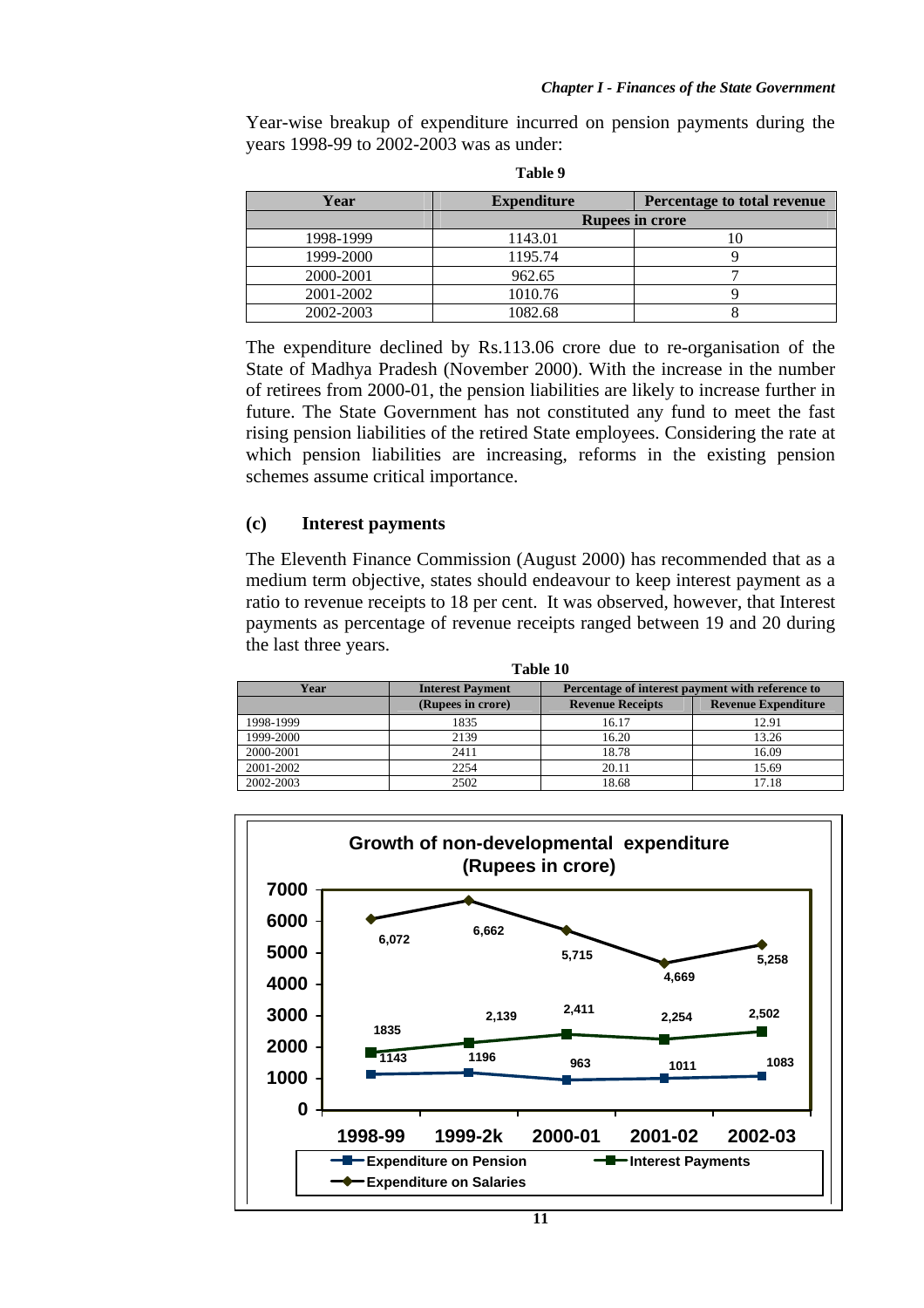Year-wise breakup of expenditure incurred on pension payments during the years 1998-99 to 2002-2003 was as under:

| Year      | <b>Expenditure</b>     | Percentage to total revenue |  |  |  |  |
|-----------|------------------------|-----------------------------|--|--|--|--|
|           | <b>Rupees in crore</b> |                             |  |  |  |  |
| 1998-1999 | 1143.01                |                             |  |  |  |  |
| 1999-2000 | 1195.74                |                             |  |  |  |  |
| 2000-2001 | 962.65                 |                             |  |  |  |  |
| 2001-2002 | 1010.76                |                             |  |  |  |  |
| 2002-2003 | 1082.68                |                             |  |  |  |  |

**Table 9** 

The expenditure declined by Rs.113.06 crore due to re-organisation of the State of Madhya Pradesh (November 2000). With the increase in the number of retirees from 2000-01, the pension liabilities are likely to increase further in future. The State Government has not constituted any fund to meet the fast rising pension liabilities of the retired State employees. Considering the rate at which pension liabilities are increasing, reforms in the existing pension schemes assume critical importance.

#### **(c) Interest payments**

The Eleventh Finance Commission (August 2000) has recommended that as a medium term objective, states should endeavour to keep interest payment as a ratio to revenue receipts to 18 per cent. It was observed, however, that Interest payments as percentage of revenue receipts ranged between 19 and 20 during the last three years.

| Table 10  |                         |                                                  |                            |  |  |
|-----------|-------------------------|--------------------------------------------------|----------------------------|--|--|
| Year      | <b>Interest Payment</b> | Percentage of interest payment with reference to |                            |  |  |
|           | (Rupees in crore)       | <b>Revenue Receipts</b>                          | <b>Revenue Expenditure</b> |  |  |
| 1998-1999 | 1835                    | 16.17                                            | 12.91                      |  |  |
| 1999-2000 | 2139                    | 16.20                                            | 13.26                      |  |  |
| 2000-2001 | 2411                    | 18.78                                            | 16.09                      |  |  |
| 2001-2002 | 2254                    | 20.11                                            | 15.69                      |  |  |
| 2002-2003 | 2502                    | 18.68                                            | 17.18                      |  |  |

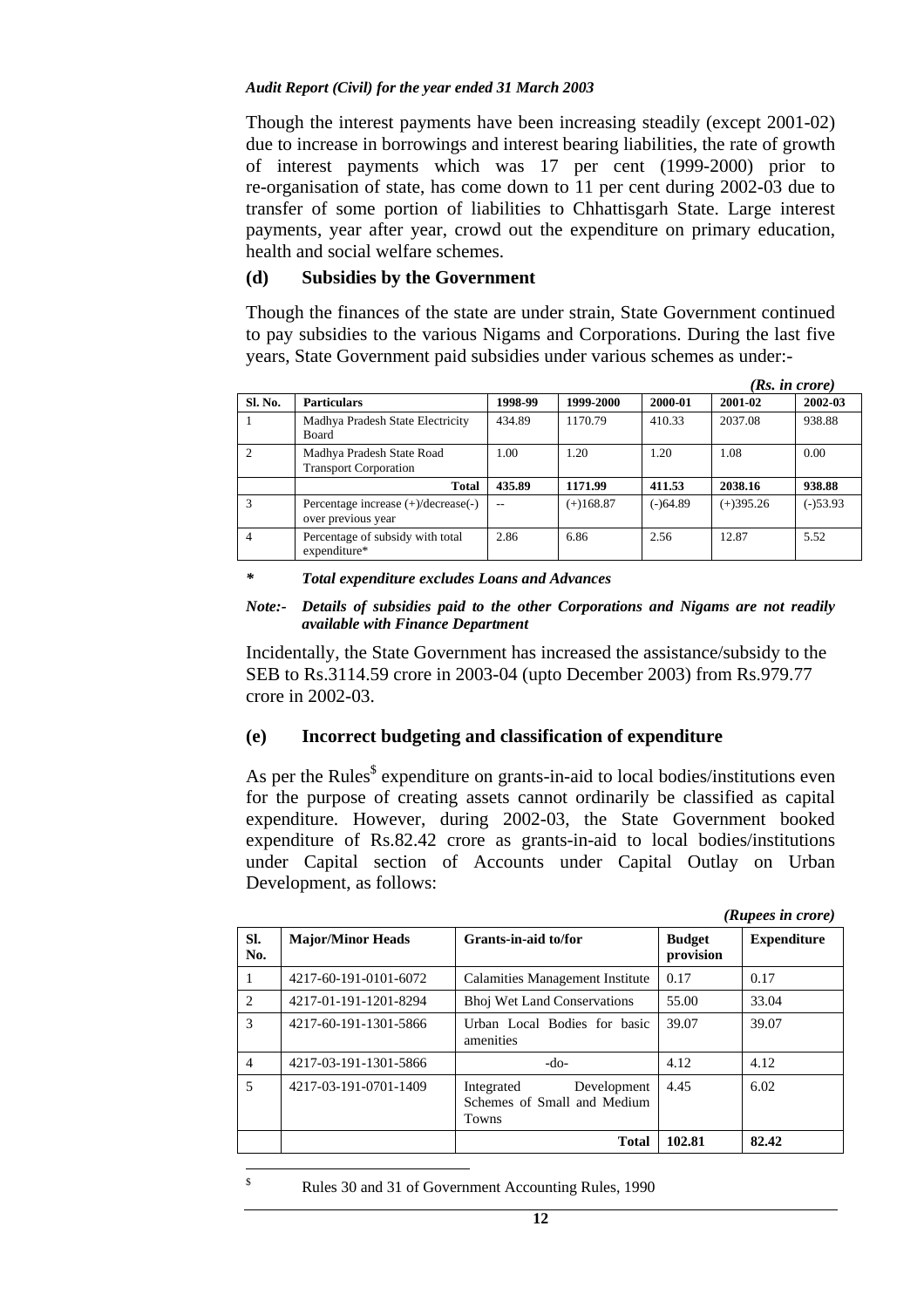Though the interest payments have been increasing steadily (except 2001-02) due to increase in borrowings and interest bearing liabilities, the rate of growth of interest payments which was 17 per cent (1999-2000) prior to re-organisation of state, has come down to 11 per cent during 2002-03 due to transfer of some portion of liabilities to Chhattisgarh State. Large interest payments, year after year, crowd out the expenditure on primary education, health and social welfare schemes.

### **(d) Subsidies by the Government**

Though the finances of the state are under strain, State Government continued to pay subsidies to the various Nigams and Corporations. During the last five years, State Government paid subsidies under various schemes as under:-

|              |                                                           |         |             |            | (Rs. in <i>core</i> ) |            |  |
|--------------|-----------------------------------------------------------|---------|-------------|------------|-----------------------|------------|--|
| Sl. No.      | <b>Particulars</b>                                        | 1998-99 | 1999-2000   | 2000-01    | 2001-02               | 2002-03    |  |
|              | Madhya Pradesh State Electricity<br>Board                 | 434.89  | 1170.79     | 410.33     | 2037.08               | 938.88     |  |
|              | Madhya Pradesh State Road<br><b>Transport Corporation</b> | 1.00    | 1.20        | 1.20       | 1.08                  | 0.00       |  |
|              | <b>Total</b>                                              | 435.89  | 1171.99     | 411.53     | 2038.16               | 938.88     |  |
| $\mathbf{3}$ | Percentage increase (+)/decrease(-)<br>over previous year |         | $(+)168.87$ | $(-)64.89$ | $(+)395.26$           | $(-)53.93$ |  |
|              | Percentage of subsidy with total<br>expenditure*          | 2.86    | 6.86        | 2.56       | 12.87                 | 5.52       |  |

*\* Total expenditure excludes Loans and Advances* 

*Note:- Details of subsidies paid to the other Corporations and Nigams are not readily available with Finance Department* 

Incidentally, the State Government has increased the assistance/subsidy to the SEB to Rs.3114.59 crore in 2003-04 (upto December 2003) from Rs.979.77 crore in 2002-03.

## **(e) Incorrect budgeting and classification of expenditure**

As per the Rules $\delta$  expenditure on grants-in-aid to local bodies/institutions even for the purpose of creating assets cannot ordinarily be classified as capital expenditure. However, during 2002-03, the State Government booked expenditure of Rs.82.42 crore as grants-in-aid to local bodies/institutions under Capital section of Accounts under Capital Outlay on Urban Development, as follows:

*(Rupees in crore)*  **Sl. No.**  Major/Minor Heads Grants-in-aid to/for **Budget provision Expenditure**  1 4217-60-191-0101-6072 Calamities Management Institute 0.17 0.17 2 4217-01-191-1201-8294 Bhoj Wet Land Conservations 55.00 33.04 3 4217-60-191-1301-5866 Urban Local Bodies for basic amenities 39.07 39.07 4 4217-03-191-1301-5866 -do- 4.12 4.12 5 4217-03-191-0701-1409 Integrated Development Schemes of Small and Medium Towns 4.45 6.02 **1 102.81 82.42** 

\$

Rules 30 and 31 of Government Accounting Rules, 1990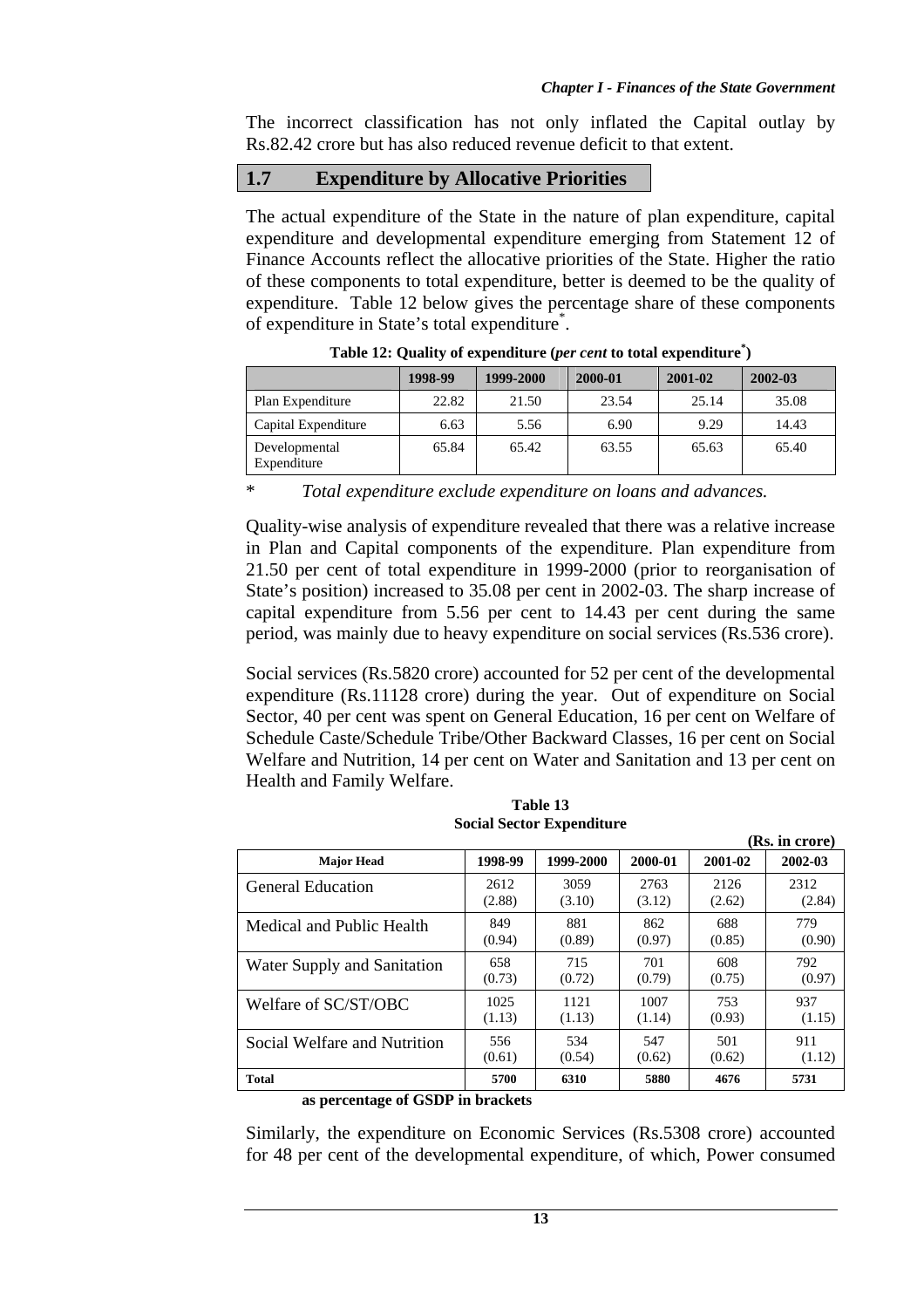**(Rs. in crore)** 

The incorrect classification has not only inflated the Capital outlay by Rs.82.42 crore but has also reduced revenue deficit to that extent.

## **1.7 Expenditure by Allocative Priorities**

The actual expenditure of the State in the nature of plan expenditure, capital expenditure and developmental expenditure emerging from Statement 12 of Finance Accounts reflect the allocative priorities of the State. Higher the ratio of these components to total expenditure, better is deemed to be the quality of expenditure. Table 12 below gives the percentage share of these components of expenditure in State's total expenditure<sup>\*</sup>.

|                              | 1998-99 | 1999-2000 | 2000-01 | 2001-02 | 2002-03 |  |  |
|------------------------------|---------|-----------|---------|---------|---------|--|--|
| Plan Expenditure             | 22.82   | 21.50     | 23.54   | 25.14   | 35.08   |  |  |
| Capital Expenditure          | 6.63    | 5.56      | 6.90    | 9.29    | 14.43   |  |  |
| Developmental<br>Expenditure | 65.84   | 65.42     | 63.55   | 65.63   | 65.40   |  |  |

**Table 12: Quality of expenditure (***per cent* **to total expenditure\* )** 

\* *Total expenditure exclude expenditure on loans and advances.*

Quality-wise analysis of expenditure revealed that there was a relative increase in Plan and Capital components of the expenditure. Plan expenditure from 21.50 per cent of total expenditure in 1999-2000 (prior to reorganisation of State's position) increased to 35.08 per cent in 2002-03. The sharp increase of capital expenditure from 5.56 per cent to 14.43 per cent during the same period, was mainly due to heavy expenditure on social services (Rs.536 crore).

Social services (Rs.5820 crore) accounted for 52 per cent of the developmental expenditure (Rs.11128 crore) during the year. Out of expenditure on Social Sector, 40 per cent was spent on General Education, 16 per cent on Welfare of Schedule Caste/Schedule Tribe/Other Backward Classes, 16 per cent on Social Welfare and Nutrition, 14 per cent on Water and Sanitation and 13 per cent on Health and Family Welfare.

| им. шини                     |         |           |         |         |         |  |  |
|------------------------------|---------|-----------|---------|---------|---------|--|--|
| <b>Major Head</b>            | 1998-99 | 1999-2000 | 2000-01 | 2001-02 | 2002-03 |  |  |
| <b>General Education</b>     | 2612    | 3059      | 2763    | 2126    | 2312    |  |  |
|                              | (2.88)  | (3.10)    | (3.12)  | (2.62)  | (2.84)  |  |  |
| Medical and Public Health    | 849     | 881       | 862     | 688     | 779     |  |  |
|                              | (0.94)  | (0.89)    | (0.97)  | (0.85)  | (0.90)  |  |  |
| Water Supply and Sanitation  | 658     | 715       | 701     | 608     | 792     |  |  |
|                              | (0.73)  | (0.72)    | (0.79)  | (0.75)  | (0.97)  |  |  |
| Welfare of SC/ST/OBC         | 1025    | 1121      | 1007    | 753     | 937     |  |  |
|                              | (1.13)  | (1.13)    | (1.14)  | (0.93)  | (1.15)  |  |  |
| Social Welfare and Nutrition | 556     | 534       | 547     | 501     | 911     |  |  |
|                              | (0.61)  | (0.54)    | (0.62)  | (0.62)  | (1.12)  |  |  |
| <b>Total</b><br>0.0000       | 5700    | 6310      | 5880    | 4676    | 5731    |  |  |

**Table 13 Social Sector Expenditure** 

#### **as percentage of GSDP in brackets**

Similarly, the expenditure on Economic Services (Rs.5308 crore) accounted for 48 per cent of the developmental expenditure, of which, Power consumed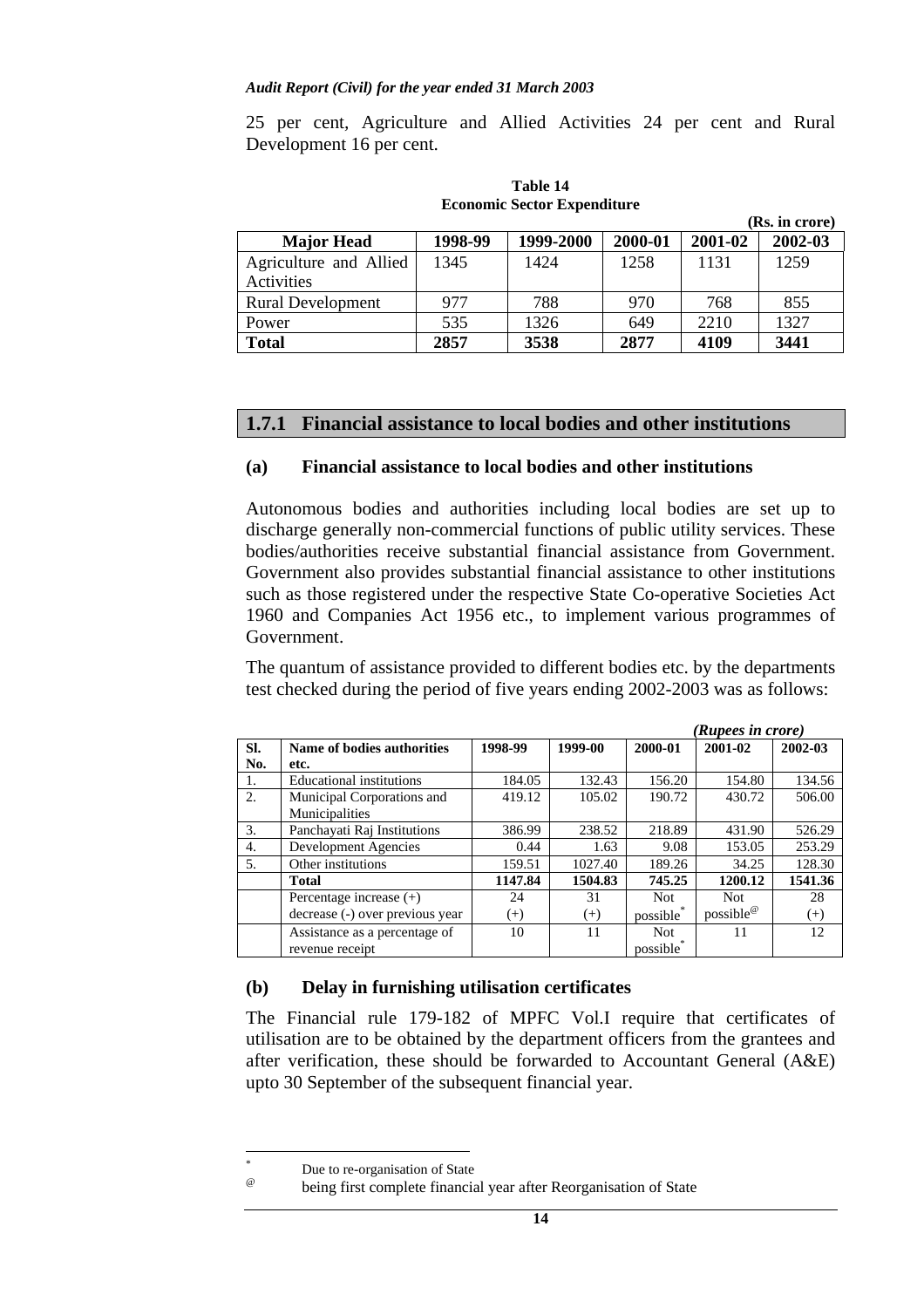25 per cent*,* Agriculture and Allied Activities 24 per cent and Rural Development 16 per cent.

| <b>Major Head</b>        | 1998-99 | 1999-2000 | 2000-01 | 2001-02 | 2002-03 |  |
|--------------------------|---------|-----------|---------|---------|---------|--|
| Agriculture and Allied   | 1345    | 1424      | 1258    | 1131    | 1259    |  |
| Activities               |         |           |         |         |         |  |
| <b>Rural Development</b> | 977     | 788       | 970     | 768     | 855     |  |
| Power                    | 535     | 1326      | 649     | 2210    | 1327    |  |
| <b>Total</b>             | 2857    | 3538      | 2877    | 4109    | 3441    |  |

**Table 14 Economic Sector Expenditure** 

### **1.7.1 Financial assistance to local bodies and other institutions**

### **(a) Financial assistance to local bodies and other institutions**

Autonomous bodies and authorities including local bodies are set up to discharge generally non-commercial functions of public utility services. These bodies/authorities receive substantial financial assistance from Government. Government also provides substantial financial assistance to other institutions such as those registered under the respective State Co-operative Societies Act 1960 and Companies Act 1956 etc., to implement various programmes of Government.

The quantum of assistance provided to different bodies etc. by the departments test checked during the period of five years ending 2002-2003 was as follows:

|     |                                 |          | (Rupees in crore) |            |                       |          |  |
|-----|---------------------------------|----------|-------------------|------------|-----------------------|----------|--|
| SI. | Name of bodies authorities      | 1998-99  | 1999-00           | 2000-01    | 2001-02               | 2002-03  |  |
| No. | etc.                            |          |                   |            |                       |          |  |
|     | <b>Educational institutions</b> | 184.05   | 132.43            | 156.20     | 154.80                | 134.56   |  |
| 2.  | Municipal Corporations and      | 419.12   | 105.02            | 190.72     | 430.72                | 506.00   |  |
|     | Municipalities                  |          |                   |            |                       |          |  |
| 3.  | Panchayati Raj Institutions     | 386.99   | 238.52            | 218.89     | 431.90                | 526.29   |  |
| 4.  | Development Agencies            | 0.44     | 1.63              | 9.08       | 153.05                | 253.29   |  |
| 5.  | Other institutions              | 159.51   | 1027.40           | 189.26     | 34.25                 | 128.30   |  |
|     | <b>Total</b>                    | 1147.84  | 1504.83           | 745.25     | 1200.12               | 1541.36  |  |
|     | Percentage increase $(+)$       | 24       | 31                | <b>Not</b> | <b>Not</b>            | 28       |  |
|     | decrease (-) over previous year | $^{(+)}$ | $^{(+)}$          | possible   | possible <sup>@</sup> | $^{(+)}$ |  |
|     | Assistance as a percentage of   | 10       | 11                | <b>Not</b> | 11                    | 12       |  |
|     | revenue receipt                 |          |                   | possible   |                       |          |  |

#### **(b) Delay in furnishing utilisation certificates**

The Financial rule 179-182 of MPFC Vol.I require that certificates of utilisation are to be obtained by the department officers from the grantees and after verification, these should be forwarded to Accountant General (A&E) upto 30 September of the subsequent financial year.

 $\overline{a}$ 

<sup>\*</sup>

<sup>&</sup>lt;sup>\*</sup> Due to re-organisation of State<br>
<sup>@</sup> being first complete financial year after Reorganisation of State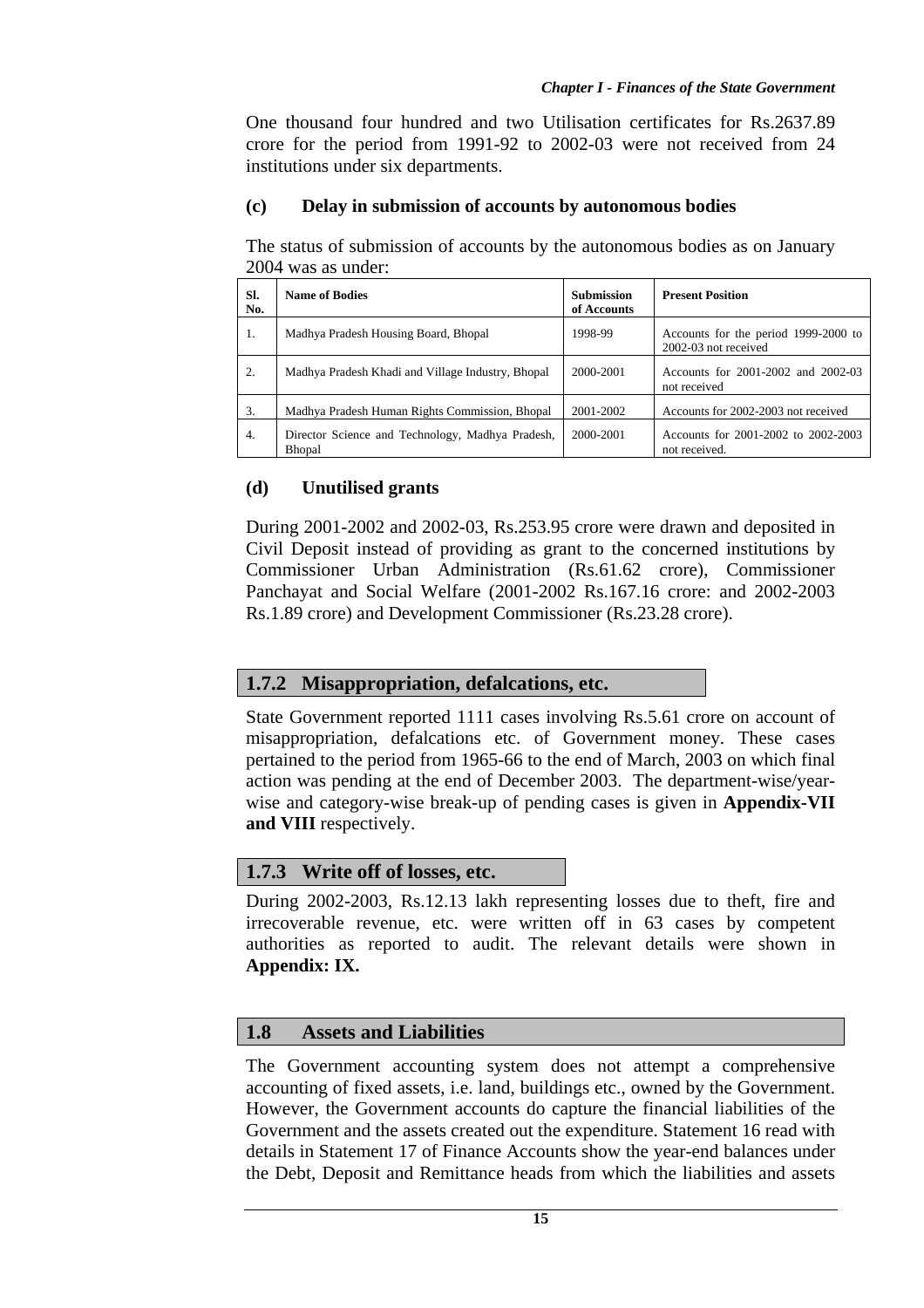One thousand four hundred and two Utilisation certificates for Rs.2637.89 crore for the period from 1991-92 to 2002-03 were not received from 24 institutions under six departments.

### **(c) Delay in submission of accounts by autonomous bodies**

The status of submission of accounts by the autonomous bodies as on January 2004 was as under:

| SI.<br>No. | <b>Name of Bodies</b>                                             | <b>Submission</b><br>of Accounts | <b>Present Position</b>                                      |
|------------|-------------------------------------------------------------------|----------------------------------|--------------------------------------------------------------|
| 1.         | Madhya Pradesh Housing Board, Bhopal                              | 1998-99                          | Accounts for the period 1999-2000 to<br>2002-03 not received |
| 2.         | Madhya Pradesh Khadi and Village Industry, Bhopal                 | 2000-2001                        | Accounts for 2001-2002 and 2002-03<br>not received           |
| 3.         | Madhya Pradesh Human Rights Commission, Bhopal                    | 2001-2002                        | Accounts for 2002-2003 not received                          |
| 4.         | Director Science and Technology, Madhya Pradesh,<br><b>Bhopal</b> | 2000-2001                        | Accounts for 2001-2002 to 2002-2003<br>not received.         |

### **(d) Unutilised grants**

During 2001-2002 and 2002-03, Rs.253.95 crore were drawn and deposited in Civil Deposit instead of providing as grant to the concerned institutions by Commissioner Urban Administration (Rs.61.62 crore), Commissioner Panchayat and Social Welfare (2001-2002 Rs.167.16 crore: and 2002-2003 Rs.1.89 crore) and Development Commissioner (Rs.23.28 crore).

## **1.7.2 Misappropriation, defalcations, etc.**

State Government reported 1111 cases involving Rs.5.61 crore on account of misappropriation, defalcations etc. of Government money. These cases pertained to the period from 1965-66 to the end of March, 2003 on which final action was pending at the end of December 2003. The department-wise/yearwise and category-wise break-up of pending cases is given in **Appendix-VII and VIII** respectively.

## **1.7.3 Write off of losses, etc.**

During 2002-2003, Rs.12.13 lakh representing losses due to theft, fire and irrecoverable revenue, etc. were written off in 63 cases by competent authorities as reported to audit. The relevant details were shown in **Appendix: IX.**

## **1.8 Assets and Liabilities**

The Government accounting system does not attempt a comprehensive accounting of fixed assets, i.e. land, buildings etc., owned by the Government. However, the Government accounts do capture the financial liabilities of the Government and the assets created out the expenditure. Statement 16 read with details in Statement 17 of Finance Accounts show the year-end balances under the Debt, Deposit and Remittance heads from which the liabilities and assets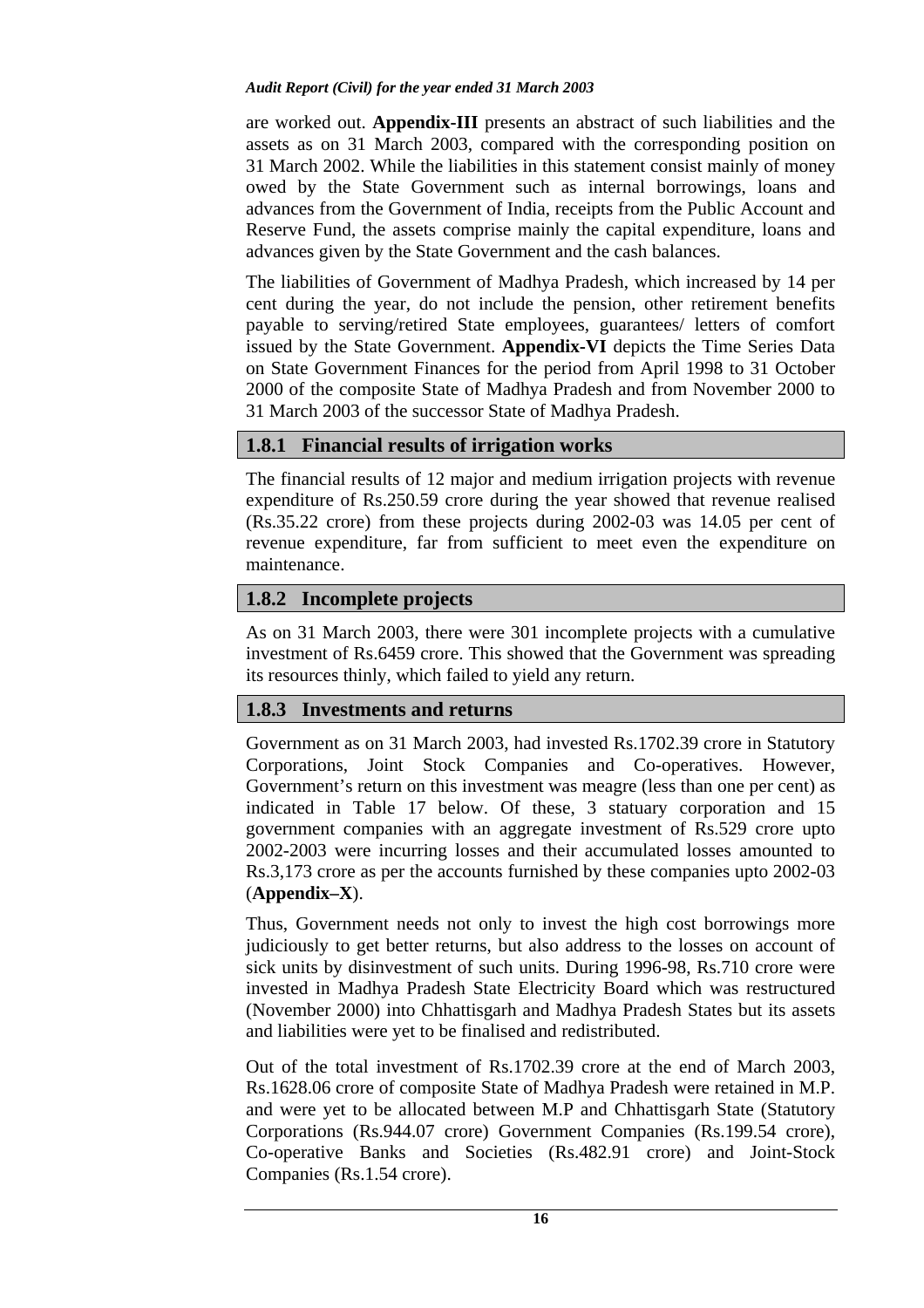are worked out. **Appendix-III** presents an abstract of such liabilities and the assets as on 31 March 2003, compared with the corresponding position on 31 March 2002. While the liabilities in this statement consist mainly of money owed by the State Government such as internal borrowings, loans and advances from the Government of India, receipts from the Public Account and Reserve Fund, the assets comprise mainly the capital expenditure, loans and advances given by the State Government and the cash balances.

The liabilities of Government of Madhya Pradesh, which increased by 14 per cent during the year, do not include the pension, other retirement benefits payable to serving/retired State employees, guarantees/ letters of comfort issued by the State Government. **Appendix-VI** depicts the Time Series Data on State Government Finances for the period from April 1998 to 31 October 2000 of the composite State of Madhya Pradesh and from November 2000 to 31 March 2003 of the successor State of Madhya Pradesh.

# **1.8.1 Financial results of irrigation works**

The financial results of 12 major and medium irrigation projects with revenue expenditure of Rs.250.59 crore during the year showed that revenue realised (Rs.35.22 crore) from these projects during 2002-03 was 14.05 per cent of revenue expenditure, far from sufficient to meet even the expenditure on maintenance.

# **1.8.2 Incomplete projects**

As on 31 March 2003, there were 301 incomplete projects with a cumulative investment of Rs.6459 crore. This showed that the Government was spreading its resources thinly, which failed to yield any return.

# **1.8.3 Investments and returns**

Government as on 31 March 2003, had invested Rs.1702.39 crore in Statutory Corporations, Joint Stock Companies and Co-operatives. However, Government's return on this investment was meagre (less than one per cent) as indicated in Table 17 below. Of these, 3 statuary corporation and 15 government companies with an aggregate investment of Rs.529 crore upto 2002-2003 were incurring losses and their accumulated losses amounted to Rs.3,173 crore as per the accounts furnished by these companies upto 2002-03 (**Appendix–X**).

Thus, Government needs not only to invest the high cost borrowings more judiciously to get better returns, but also address to the losses on account of sick units by disinvestment of such units. During 1996-98, Rs.710 crore were invested in Madhya Pradesh State Electricity Board which was restructured (November 2000) into Chhattisgarh and Madhya Pradesh States but its assets and liabilities were yet to be finalised and redistributed.

Out of the total investment of Rs.1702.39 crore at the end of March 2003, Rs.1628.06 crore of composite State of Madhya Pradesh were retained in M.P. and were yet to be allocated between M.P and Chhattisgarh State (Statutory Corporations (Rs.944.07 crore) Government Companies (Rs.199.54 crore), Co-operative Banks and Societies (Rs.482.91 crore) and Joint-Stock Companies (Rs.1.54 crore).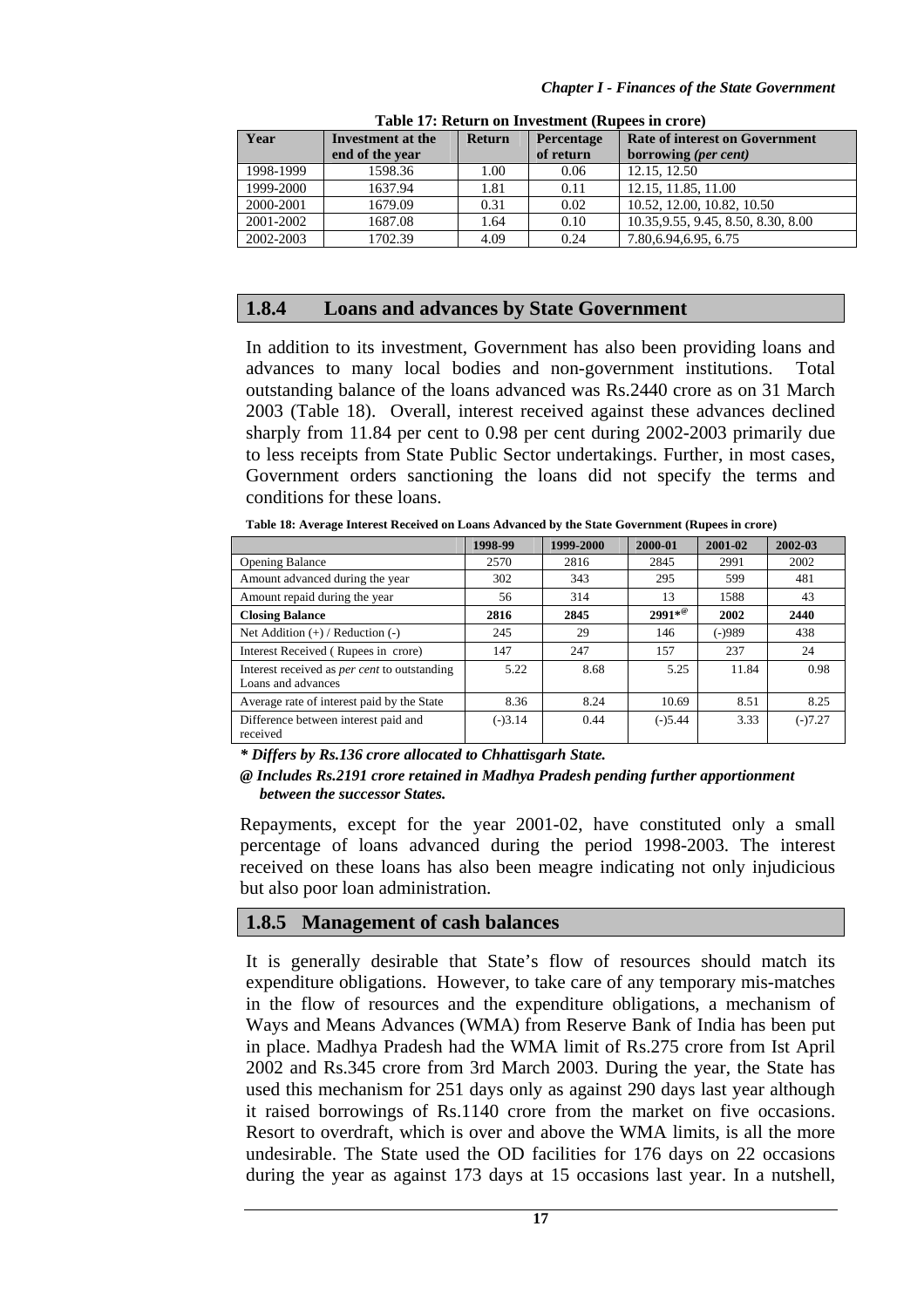| Year      | Investment at the | <b>Return</b> | <b>Percentage</b> | <b>Rate of interest on Government</b> |
|-----------|-------------------|---------------|-------------------|---------------------------------------|
|           | end of the year   |               | of return         | borrowing (per cent)                  |
| 1998-1999 | 1598.36           | 1.00          | 0.06              | 12.15.12.50                           |
| 1999-2000 | 1637.94           | 1.81          | 0.11              | 12.15, 11.85, 11.00                   |
| 2000-2001 | 1679.09           | 0.31          | 0.02              | 10.52, 12.00, 10.82, 10.50            |
| 2001-2002 | 1687.08           | 1.64          | 0.10              | 10.35, 9.55, 9.45, 8.50, 8.30, 8.00   |
| 2002-2003 | 1702.39           | 4.09          | 0.24              | 7.80, 6.94, 6.95, 6.75                |

**Table 17: Return on Investment (Rupees in crore)** 

### **1.8.4 Loans and advances by State Government**

In addition to its investment, Government has also been providing loans and advances to many local bodies and non-government institutions. Total outstanding balance of the loans advanced was Rs.2440 crore as on 31 March 2003 (Table 18). Overall, interest received against these advances declined sharply from 11.84 per cent to 0.98 per cent during 2002-2003 primarily due to less receipts from State Public Sector undertakings. Further, in most cases, Government orders sanctioning the loans did not specify the terms and conditions for these loans.

**Table 18: Average Interest Received on Loans Advanced by the State Government (Rupees in crore)** 

|                                                                           | 1998-99   | 1999-2000 | 2000-01         | 2001-02  | 2002-03   |
|---------------------------------------------------------------------------|-----------|-----------|-----------------|----------|-----------|
| <b>Opening Balance</b>                                                    | 2570      | 2816      | 2845            | 2991     | 2002      |
| Amount advanced during the year                                           | 302       | 343       | 295             | 599      | 481       |
| Amount repaid during the year                                             | 56        | 314       | 13              | 1588     | 43        |
| <b>Closing Balance</b>                                                    | 2816      | 2845      | $2991*^{\circ}$ | 2002     | 2440      |
| Net Addition $(+)$ / Reduction $(-)$                                      | 245       | 29        | 146             | $(-)989$ | 438       |
| Interest Received (Rupees in crore)                                       | 147       | 247       | 157             | 237      | 24        |
| Interest received as <i>per cent</i> to outstanding<br>Loans and advances | 5.22      | 8.68      | 5.25            | 11.84    | 0.98      |
| Average rate of interest paid by the State                                | 8.36      | 8.24      | 10.69           | 8.51     | 8.25      |
| Difference between interest paid and<br>received                          | $(-)3.14$ | 0.44      | $(-)5.44$       | 3.33     | $(-)7.27$ |

*\* Differs by Rs.136 crore allocated to Chhattisgarh State.* 

*@ Includes Rs.2191 crore retained in Madhya Pradesh pending further apportionment between the successor States.* 

Repayments, except for the year 2001-02, have constituted only a small percentage of loans advanced during the period 1998-2003. The interest received on these loans has also been meagre indicating not only injudicious but also poor loan administration.

#### **1.8.5 Management of cash balances**

It is generally desirable that State's flow of resources should match its expenditure obligations. However, to take care of any temporary mis-matches in the flow of resources and the expenditure obligations, a mechanism of Ways and Means Advances (WMA) from Reserve Bank of India has been put in place. Madhya Pradesh had the WMA limit of Rs.275 crore from Ist April 2002 and Rs.345 crore from 3rd March 2003. During the year, the State has used this mechanism for 251 days only as against 290 days last year although it raised borrowings of Rs.1140 crore from the market on five occasions. Resort to overdraft, which is over and above the WMA limits, is all the more undesirable. The State used the OD facilities for 176 days on 22 occasions during the year as against 173 days at 15 occasions last year. In a nutshell,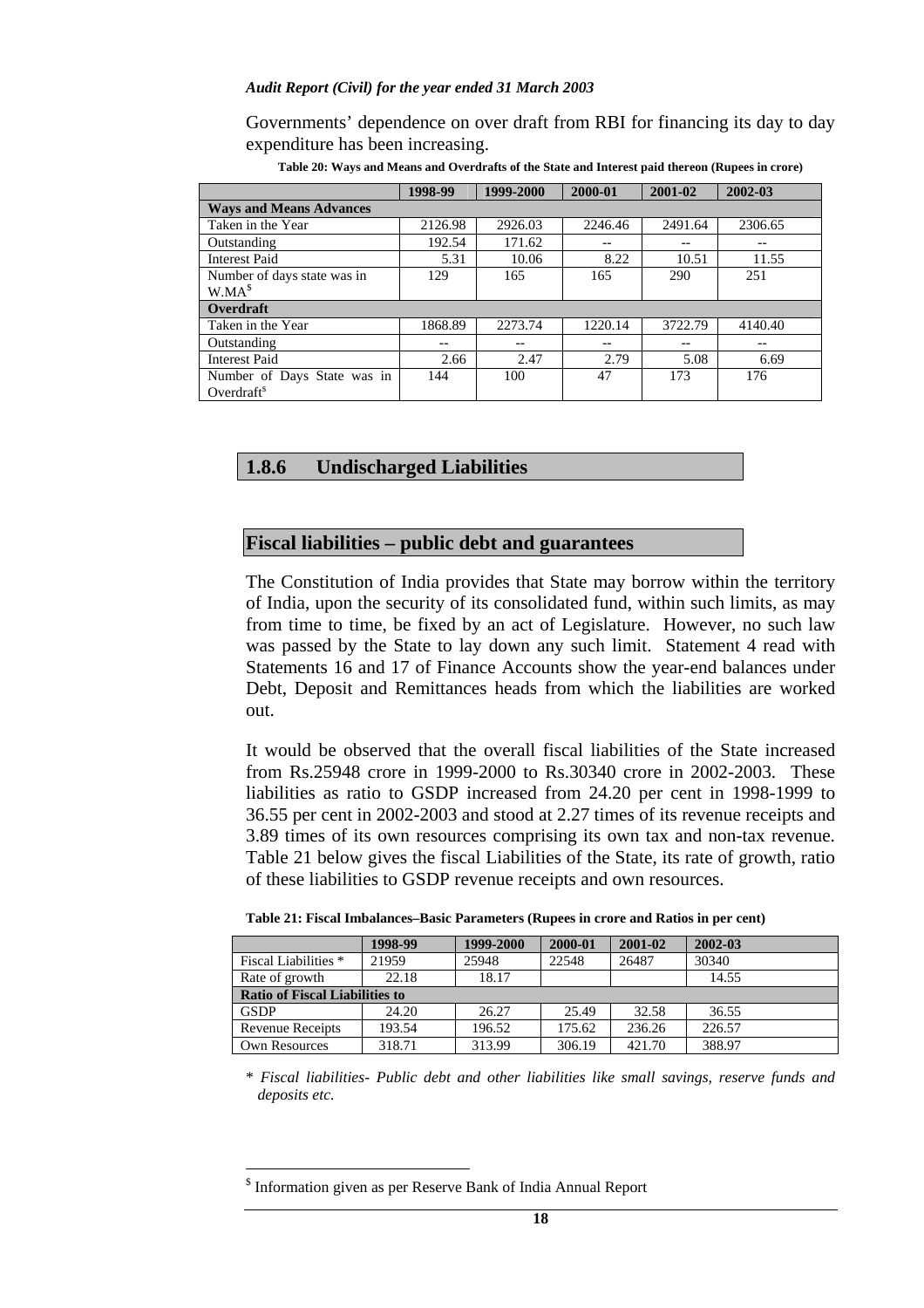Governments' dependence on over draft from RBI for financing its day to day expenditure has been increasing.

|                                | 1998-99 | 1999-2000 | 2000-01 | 2001-02 | 2002-03 |
|--------------------------------|---------|-----------|---------|---------|---------|
| <b>Ways and Means Advances</b> |         |           |         |         |         |
| Taken in the Year              | 2126.98 | 2926.03   | 2246.46 | 2491.64 | 2306.65 |
| Outstanding                    | 192.54  | 171.62    |         | --      | --      |
| <b>Interest Paid</b>           | 5.31    | 10.06     | 8.22    | 10.51   | 11.55   |
| Number of days state was in    | 129     | 165       | 165     | 290     | 251     |
| W.MA <sup>s</sup>              |         |           |         |         |         |
| Overdraft                      |         |           |         |         |         |
| Taken in the Year              | 1868.89 | 2273.74   | 1220.14 | 3722.79 | 4140.40 |
| Outstanding                    |         |           |         |         |         |
| <b>Interest Paid</b>           | 2.66    | 2.47      | 2.79    | 5.08    | 6.69    |
| Number of Days State was in    | 144     | 100       | 47      | 173     | 176     |
| Overdraft $s$                  |         |           |         |         |         |

**Table 20: Ways and Means and Overdrafts of the State and Interest paid thereon (Rupees in crore)**

## **1.8.6 Undischarged Liabilities**

### **Fiscal liabilities – public debt and guarantees**

The Constitution of India provides that State may borrow within the territory of India, upon the security of its consolidated fund, within such limits, as may from time to time, be fixed by an act of Legislature. However, no such law was passed by the State to lay down any such limit. Statement 4 read with Statements 16 and 17 of Finance Accounts show the year-end balances under Debt, Deposit and Remittances heads from which the liabilities are worked out.

It would be observed that the overall fiscal liabilities of the State increased from Rs.25948 crore in 1999-2000 to Rs.30340 crore in 2002-2003. These liabilities as ratio to GSDP increased from 24.20 per cent in 1998-1999 to 36.55 per cent in 2002-2003 and stood at 2.27 times of its revenue receipts and 3.89 times of its own resources comprising its own tax and non-tax revenue. Table 21 below gives the fiscal Liabilities of the State, its rate of growth, ratio of these liabilities to GSDP revenue receipts and own resources.

| Table 21: Fiscal Imbalances–Basic Parameters (Rupees in crore and Ratios in per cent) |  |
|---------------------------------------------------------------------------------------|--|
|---------------------------------------------------------------------------------------|--|

|                                       | 1998-99 | 1999-2000 | 2000-01 | 2001-02 | $2002 - 03$ |  |  |
|---------------------------------------|---------|-----------|---------|---------|-------------|--|--|
| <b>Fiscal Liabilities</b> *           | 21959   | 25948     | 22548   | 26487   | 30340       |  |  |
| Rate of growth                        | 22.18   | 18.17     |         |         | 14.55       |  |  |
| <b>Ratio of Fiscal Liabilities to</b> |         |           |         |         |             |  |  |
| <b>GSDP</b>                           | 24.20   | 26.27     | 25.49   | 32.58   | 36.55       |  |  |
| Revenue Receipts                      | 193.54  | 196.52    | 175.62  | 236.26  | 226.57      |  |  |
| <b>Own Resources</b>                  | 318.71  | 313.99    | 306.19  | 421.70  | 388.97      |  |  |

\* *Fiscal liabilities- Public debt and other liabilities like small savings, reserve funds and deposits etc.*

 $\overline{a}$ 

<sup>&</sup>lt;sup>\$</sup> Information given as per Reserve Bank of India Annual Report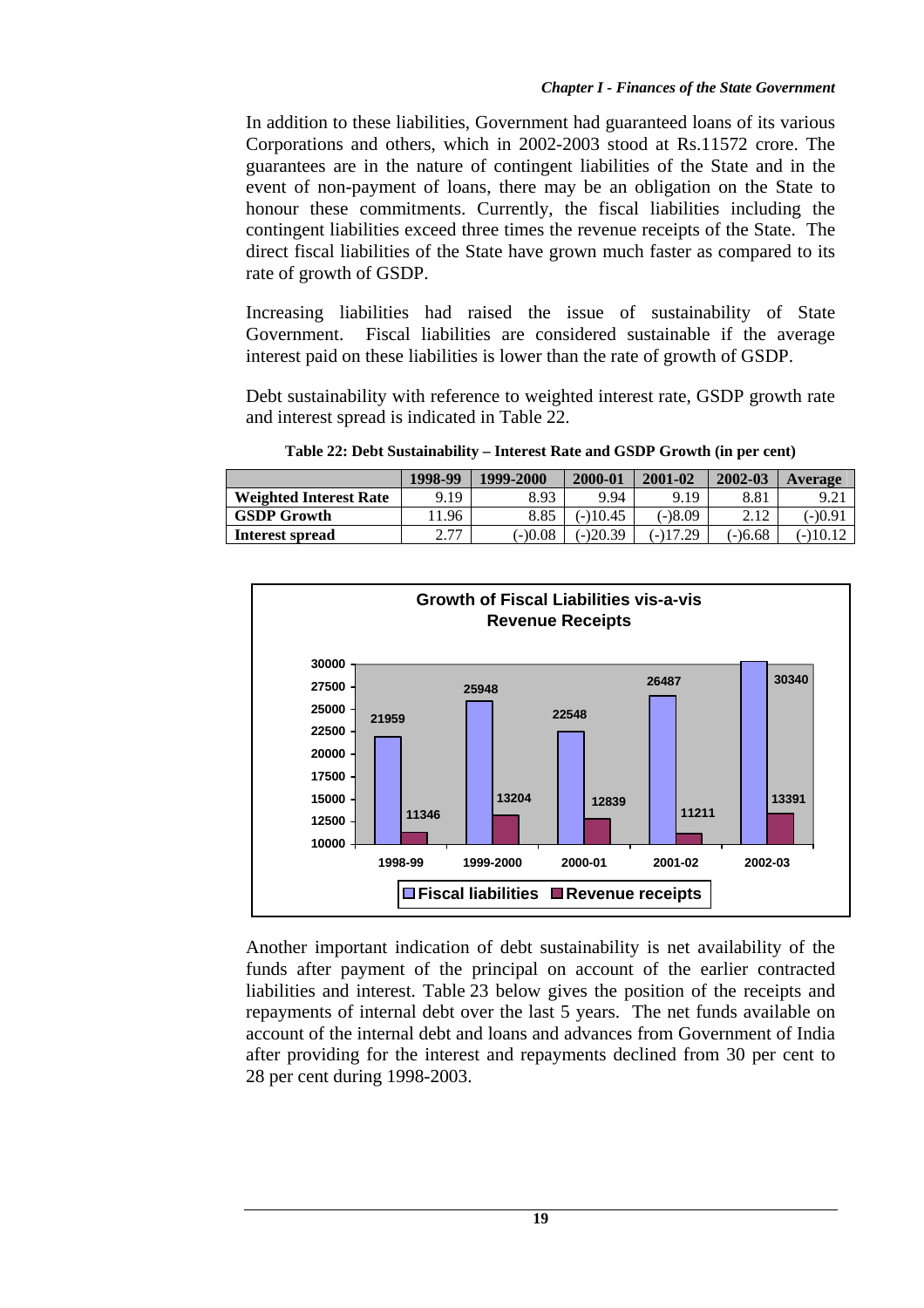In addition to these liabilities, Government had guaranteed loans of its various Corporations and others, which in 2002-2003 stood at Rs.11572 crore. The guarantees are in the nature of contingent liabilities of the State and in the event of non-payment of loans, there may be an obligation on the State to honour these commitments. Currently, the fiscal liabilities including the contingent liabilities exceed three times the revenue receipts of the State. The direct fiscal liabilities of the State have grown much faster as compared to its rate of growth of GSDP.

Increasing liabilities had raised the issue of sustainability of State Government. Fiscal liabilities are considered sustainable if the average interest paid on these liabilities is lower than the rate of growth of GSDP.

Debt sustainability with reference to weighted interest rate, GSDP growth rate and interest spread is indicated in Table 22.

|                               | 1998-99                      | 1999-2000 | 2000-01    | 2001-02   | 2002-03   | Average  |
|-------------------------------|------------------------------|-----------|------------|-----------|-----------|----------|
| <b>Weighted Interest Rate</b> | 9.19                         | 8.93      | 9.94       | 9.19      | 8.81      | 9.21     |
| <b>GSDP Growth</b>            | 1.96                         | 8.85      | $-10.45$   | $(-)8.09$ | 2.12      | $-0.9i$  |
| Interest spread               | רד ר<br>$\sim$ $\sim$ $\sim$ | $(-)0.08$ | $(-)20.39$ | (-)17.29  | $(-)6.68$ | (-)10.12 |

**Table 22: Debt Sustainability – Interest Rate and GSDP Growth (in per cent)**



Another important indication of debt sustainability is net availability of the funds after payment of the principal on account of the earlier contracted liabilities and interest. Table 23 below gives the position of the receipts and repayments of internal debt over the last 5 years. The net funds available on account of the internal debt and loans and advances from Government of India after providing for the interest and repayments declined from 30 per cent to 28 per cent during 1998-2003.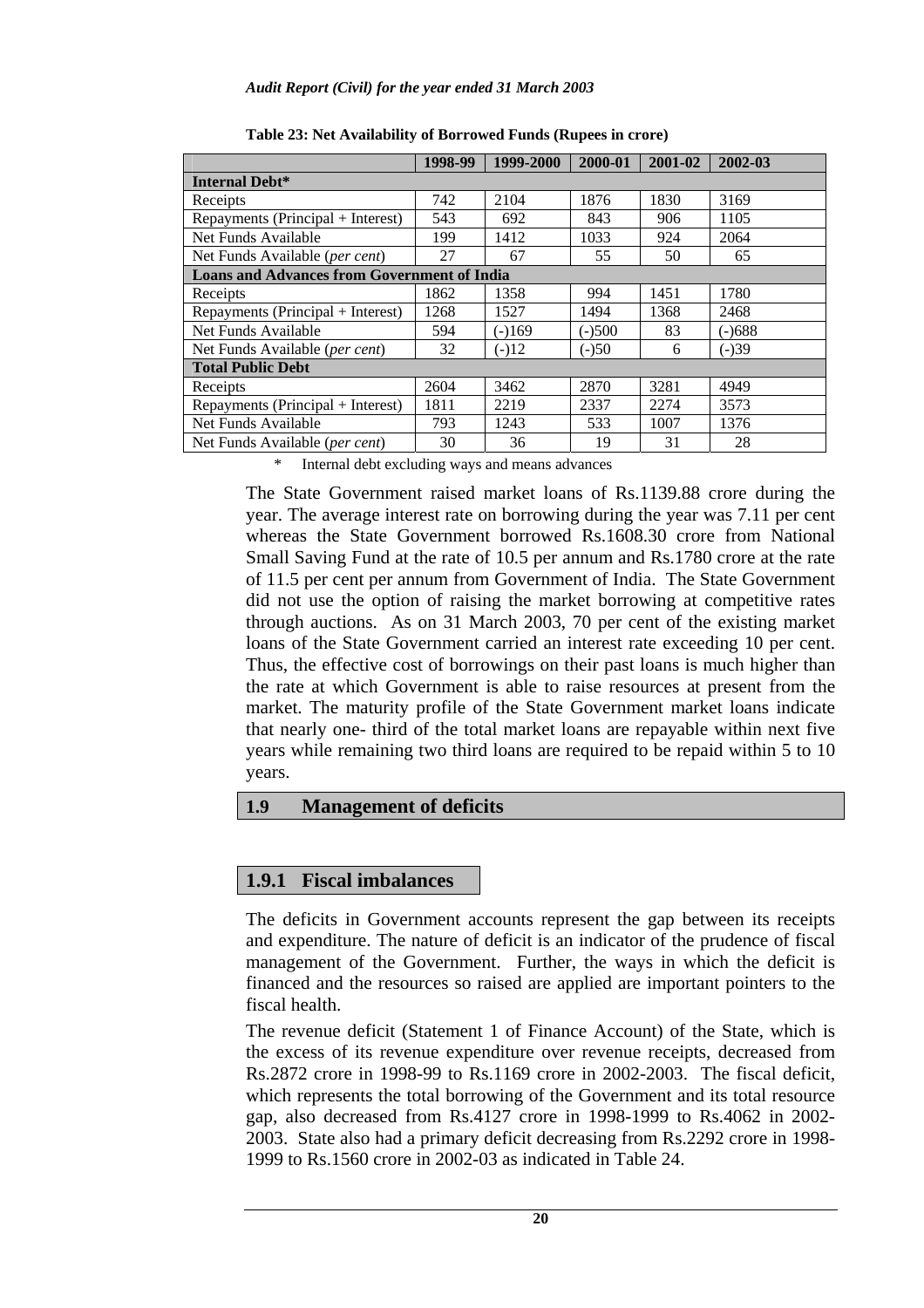|                                                    | 1998-99 | 1999-2000 | 2000-01  | 2001-02 | 2002-03 |  |  |
|----------------------------------------------------|---------|-----------|----------|---------|---------|--|--|
| Internal Debt*                                     |         |           |          |         |         |  |  |
| Receipts                                           | 742     | 2104      | 1876     | 1830    | 3169    |  |  |
| Repayments (Principal + Interest)                  | 543     | 692       | 843      | 906     | 1105    |  |  |
| Net Funds Available                                | 199     | 1412      | 1033     | 924     | 2064    |  |  |
| Net Funds Available ( <i>per cent</i> )            | 27      | 67        | 55       | 50      | 65      |  |  |
| <b>Loans and Advances from Government of India</b> |         |           |          |         |         |  |  |
| Receipts                                           | 1862    | 1358      | 994      | 1451    | 1780    |  |  |
| Repayments (Principal + Interest)                  | 1268    | 1527      | 1494     | 1368    | 2468    |  |  |
| Net Funds Available                                | 594     | $(-)169$  | $(-)500$ | 83      | (-)688  |  |  |
| Net Funds Available ( <i>per cent</i> )            | 32      | $(-)12$   | $(-)50$  | 6       | (-)39   |  |  |
| <b>Total Public Debt</b>                           |         |           |          |         |         |  |  |
| Receipts                                           | 2604    | 3462      | 2870     | 3281    | 4949    |  |  |
| Repayments (Principal + Interest)                  | 1811    | 2219      | 2337     | 2274    | 3573    |  |  |
| Net Funds Available                                | 793     | 1243      | 533      | 1007    | 1376    |  |  |
| Net Funds Available ( <i>per cent</i> )            | 30      | 36        | 19       | 31      | 28      |  |  |

**Table 23: Net Availability of Borrowed Funds (Rupees in crore)** 

\* Internal debt excluding ways and means advances

The State Government raised market loans of Rs.1139.88 crore during the year. The average interest rate on borrowing during the year was 7.11 per cent whereas the State Government borrowed Rs.1608.30 crore from National Small Saving Fund at the rate of 10.5 per annum and Rs.1780 crore at the rate of 11.5 per cent per annum from Government of India. The State Government did not use the option of raising the market borrowing at competitive rates through auctions.As on 31 March 2003, 70 per cent of the existing market loans of the State Government carried an interest rate exceeding 10 per cent. Thus, the effective cost of borrowings on their past loans is much higher than the rate at which Government is able to raise resources at present from the market. The maturity profile of the State Government market loans indicate that nearly one- third of the total market loans are repayable within next five years while remaining two third loans are required to be repaid within 5 to 10 years.

## **1.9 Management of deficits**

# **1.9.1 Fiscal imbalances**

The deficits in Government accounts represent the gap between its receipts and expenditure. The nature of deficit is an indicator of the prudence of fiscal management of the Government. Further, the ways in which the deficit is financed and the resources so raised are applied are important pointers to the fiscal health.

The revenue deficit (Statement 1 of Finance Account) of the State, which is the excess of its revenue expenditure over revenue receipts, decreased from Rs.2872 crore in 1998-99 to Rs.1169 crore in 2002-2003. The fiscal deficit, which represents the total borrowing of the Government and its total resource gap, also decreased from Rs.4127 crore in 1998-1999 to Rs.4062 in 2002- 2003. State also had a primary deficit decreasing from Rs.2292 crore in 1998- 1999 to Rs.1560 crore in 2002-03 as indicated in Table 24.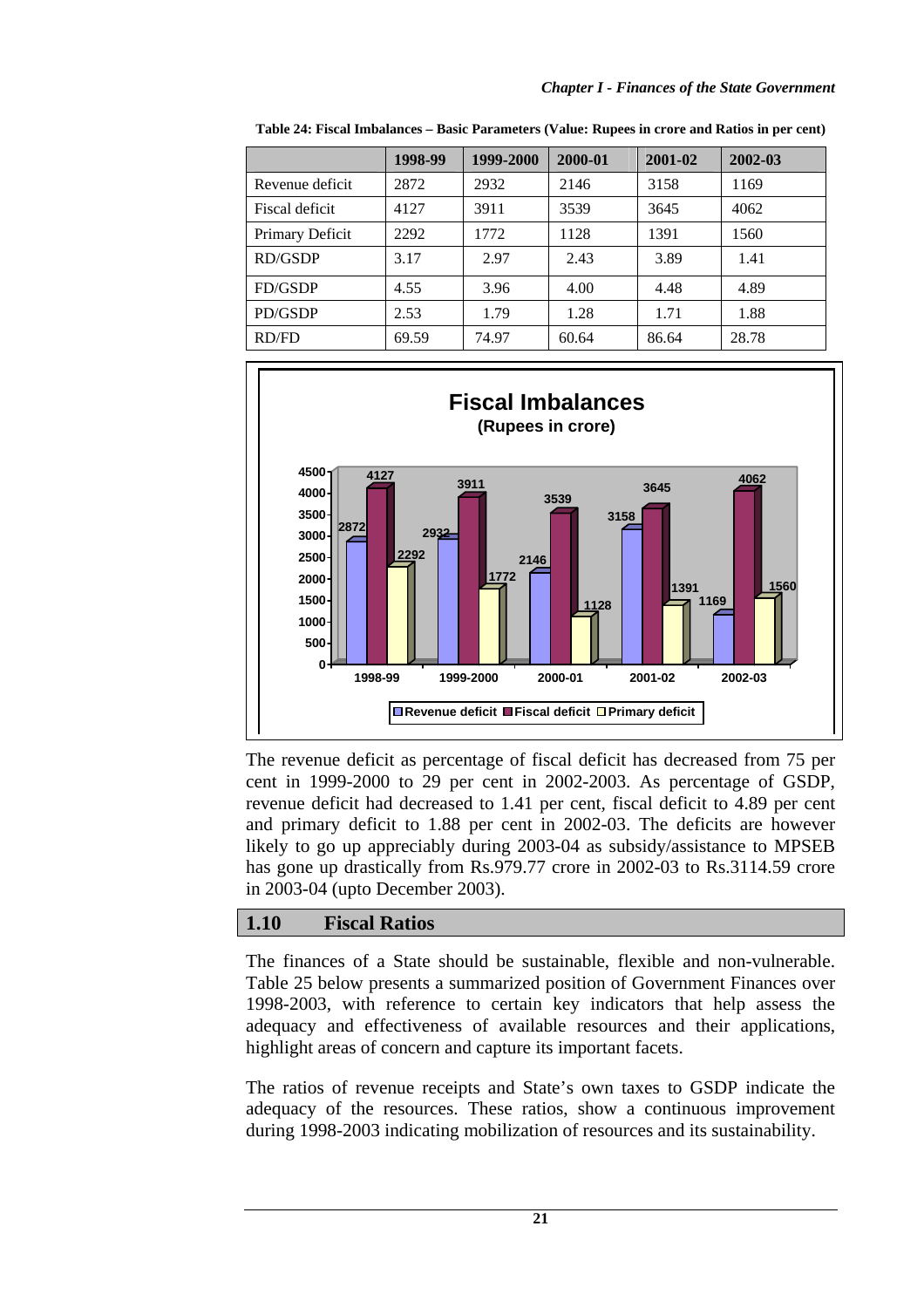|                 | 1998-99 | 1999-2000 | 2000-01 | 2001-02 | 2002-03 |
|-----------------|---------|-----------|---------|---------|---------|
| Revenue deficit | 2872    | 2932      | 2146    | 3158    | 1169    |
| Fiscal deficit  | 4127    | 3911      | 3539    | 3645    | 4062    |
| Primary Deficit | 2292    | 1772      | 1128    | 1391    | 1560    |
| RD/GSDP         | 3.17    | 2.97      | 2.43    | 3.89    | 1.41    |
| FD/GSDP         | 4.55    | 3.96      | 4.00    | 4.48    | 4.89    |
| PD/GSDP         | 2.53    | 1.79      | 1.28    | 1.71    | 1.88    |
| RD/FD           | 69.59   | 74.97     | 60.64   | 86.64   | 28.78   |

**Table 24: Fiscal Imbalances – Basic Parameters (Value: Rupees in crore and Ratios in per cent)**



The revenue deficit as percentage of fiscal deficit has decreased from 75 per cent in 1999-2000 to 29 per cent in 2002-2003. As percentage of GSDP, revenue deficit had decreased to 1.41 per cent*,* fiscal deficit to 4.89 per cent and primary deficit to 1.88 per cent in 2002-03. The deficits are however likely to go up appreciably during 2003-04 as subsidy/assistance to MPSEB has gone up drastically from Rs.979.77 crore in 2002-03 to Rs.3114.59 crore in 2003-04 (upto December 2003).

# **1.10 Fiscal Ratios**

The finances of a State should be sustainable, flexible and non-vulnerable. Table 25 below presents a summarized position of Government Finances over 1998-2003, with reference to certain key indicators that help assess the adequacy and effectiveness of available resources and their applications, highlight areas of concern and capture its important facets.

The ratios of revenue receipts and State's own taxes to GSDP indicate the adequacy of the resources. These ratios, show a continuous improvement during 1998-2003 indicating mobilization of resources and its sustainability.